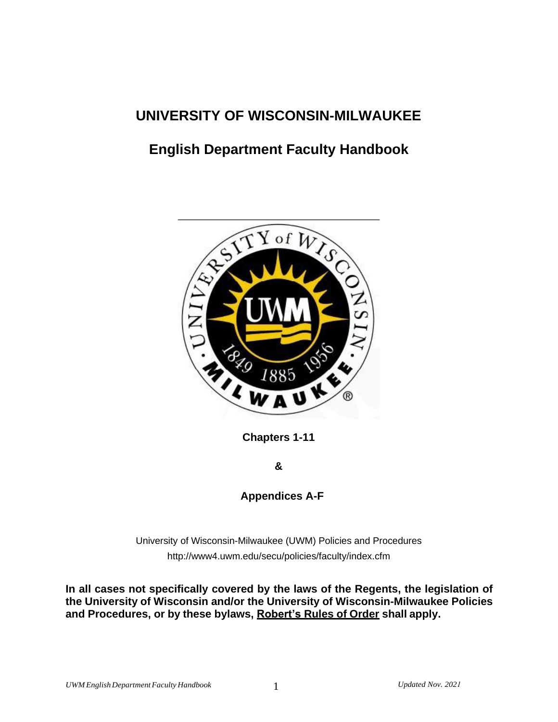# **UNIVERSITY OF WISCONSIN-MILWAUKEE**

# **English Department Faculty Handbook**



**Chapters 1-11** 

**&**

**Appendices A-F**

University of Wisconsin-Milwaukee (UWM) Policies and Procedures <http://www4.uwm.edu/secu/policies/faculty/index.cfm>

**In all cases not specifically covered by the laws of the Regents, the legislation of the University of Wisconsin and/or the University of Wisconsin-Milwaukee Policies and Procedures, or by these bylaws, Robert's Rules of Order shall apply.**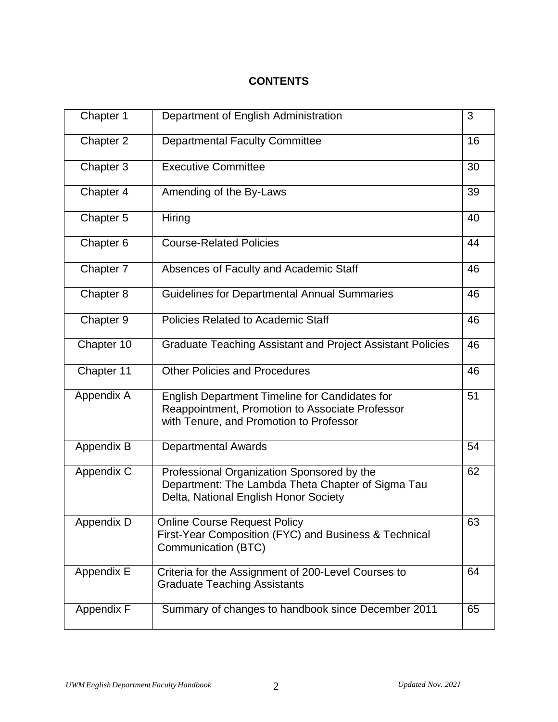# **CONTENTS**

| Chapter 1  | Department of English Administration                                                                                                                | 3  |
|------------|-----------------------------------------------------------------------------------------------------------------------------------------------------|----|
| Chapter 2  | <b>Departmental Faculty Committee</b>                                                                                                               | 16 |
| Chapter 3  | <b>Executive Committee</b>                                                                                                                          | 30 |
| Chapter 4  | Amending of the By-Laws                                                                                                                             | 39 |
| Chapter 5  | Hiring                                                                                                                                              | 40 |
| Chapter 6  | <b>Course-Related Policies</b>                                                                                                                      | 44 |
| Chapter 7  | Absences of Faculty and Academic Staff                                                                                                              | 46 |
| Chapter 8  | <b>Guidelines for Departmental Annual Summaries</b>                                                                                                 | 46 |
| Chapter 9  | Policies Related to Academic Staff                                                                                                                  | 46 |
| Chapter 10 | <b>Graduate Teaching Assistant and Project Assistant Policies</b>                                                                                   | 46 |
| Chapter 11 | <b>Other Policies and Procedures</b>                                                                                                                | 46 |
| Appendix A | <b>English Department Timeline for Candidates for</b><br>Reappointment, Promotion to Associate Professor<br>with Tenure, and Promotion to Professor | 51 |
| Appendix B | <b>Departmental Awards</b>                                                                                                                          | 54 |
| Appendix C | Professional Organization Sponsored by the<br>Department: The Lambda Theta Chapter of Sigma Tau<br>Delta, National English Honor Society            | 62 |
| Appendix D | <b>Online Course Request Policy</b><br>First-Year Composition (FYC) and Business & Technical<br>Communication (BTC)                                 | 63 |
| Appendix E | Criteria for the Assignment of 200-Level Courses to<br><b>Graduate Teaching Assistants</b>                                                          | 64 |
| Appendix F | Summary of changes to handbook since December 2011                                                                                                  | 65 |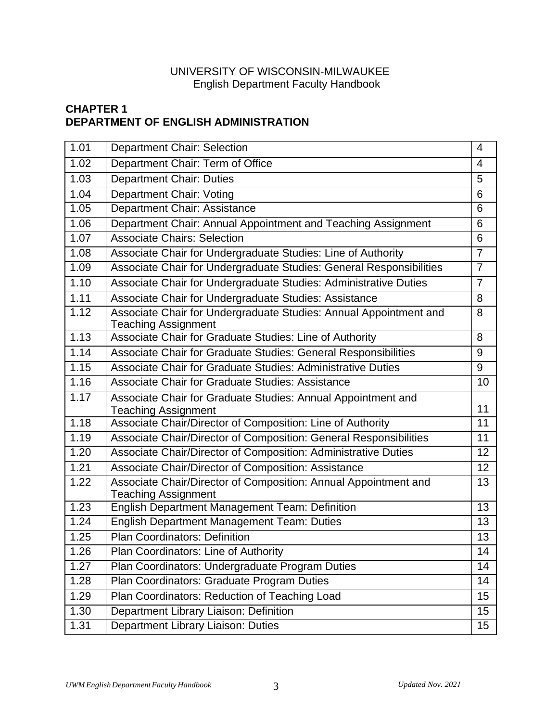### UNIVERSITY OF WISCONSIN-MILWAUKEE English Department Faculty Handbook

# **CHAPTER 1 DEPARTMENT OF ENGLISH ADMINISTRATION**

| 1.01              | <b>Department Chair: Selection</b>                                                              | $\overline{4}$ |
|-------------------|-------------------------------------------------------------------------------------------------|----------------|
| 1.02              | Department Chair: Term of Office                                                                | $\overline{4}$ |
| 1.03              | <b>Department Chair: Duties</b>                                                                 | 5              |
| 1.04              | <b>Department Chair: Voting</b>                                                                 | 6              |
| 1.05              | Department Chair: Assistance                                                                    | 6              |
| 1.06              | Department Chair: Annual Appointment and Teaching Assignment                                    | 6              |
| 1.07              | <b>Associate Chairs: Selection</b>                                                              | 6              |
| 1.08              | Associate Chair for Undergraduate Studies: Line of Authority                                    | $\overline{7}$ |
| 1.09              | Associate Chair for Undergraduate Studies: General Responsibilities                             | $\overline{7}$ |
| 1.10              | Associate Chair for Undergraduate Studies: Administrative Duties                                | $\overline{7}$ |
| 1.11              | Associate Chair for Undergraduate Studies: Assistance                                           | 8              |
| 1.12              | Associate Chair for Undergraduate Studies: Annual Appointment and<br><b>Teaching Assignment</b> | 8              |
| 1.13              | Associate Chair for Graduate Studies: Line of Authority                                         | 8              |
| 1.14              | Associate Chair for Graduate Studies: General Responsibilities                                  | 9              |
| 1.15              | Associate Chair for Graduate Studies: Administrative Duties                                     | 9              |
| 1.16              | <b>Associate Chair for Graduate Studies: Assistance</b>                                         | 10             |
| 1.17              | Associate Chair for Graduate Studies: Annual Appointment and<br><b>Teaching Assignment</b>      | 11             |
| 1.18              | Associate Chair/Director of Composition: Line of Authority                                      | 11             |
| $\overline{1.19}$ | Associate Chair/Director of Composition: General Responsibilities                               | 11             |
| 1.20              | Associate Chair/Director of Composition: Administrative Duties                                  | 12             |
| 1.21              | Associate Chair/Director of Composition: Assistance                                             | 12             |
| 1.22              | Associate Chair/Director of Composition: Annual Appointment and<br><b>Teaching Assignment</b>   | 13             |
| 1.23              | English Department Management Team: Definition                                                  | 13             |
| 1.24              | English Department Management Team: Duties                                                      | 13             |
| 1.25              | Plan Coordinators: Definition                                                                   | 13             |
| 1.26              | Plan Coordinators: Line of Authority                                                            | 14             |
| 1.27              | Plan Coordinators: Undergraduate Program Duties                                                 | 14             |
| 1.28              | Plan Coordinators: Graduate Program Duties                                                      | 14             |
| 1.29              | Plan Coordinators: Reduction of Teaching Load                                                   | 15             |
| 1.30              | Department Library Liaison: Definition                                                          | 15             |
| 1.31              | Department Library Liaison: Duties                                                              | 15             |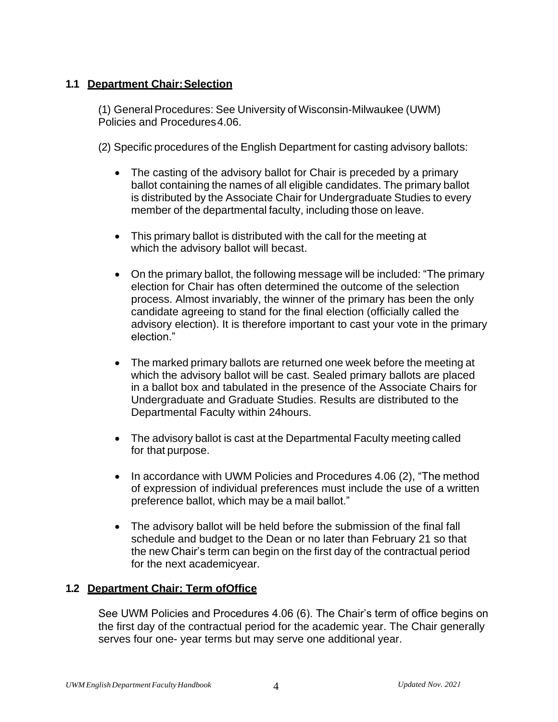### **1.1 Department Chair:Selection**

(1) General Procedures: See University of Wisconsin-Milwaukee (UWM) Policies and Procedures 4.06.

(2) Specific procedures of the English Department for casting advisory ballots:

- The casting of the advisory ballot for Chair is preceded by a primary ballot containing the names of all eligible candidates. The primary ballot is distributed by the Associate Chair for Undergraduate Studies to every member of the departmental faculty, including those on leave.
- This primary ballot is distributed with the call for the meeting at which the advisory ballot will becast.
- On the primary ballot, the following message will be included: "The primary election for Chair has often determined the outcome of the selection process. Almost invariably, the winner of the primary has been the only candidate agreeing to stand for the final election (officially called the advisory election). It is therefore important to cast your vote in the primary election."
- The marked primary ballots are returned one week before the meeting at which the advisory ballot will be cast. Sealed primary ballots are placed in a ballot box and tabulated in the presence of the Associate Chairs for Undergraduate and Graduate Studies. Results are distributed to the Departmental Faculty within 24hours.
- The advisory ballot is cast at the Departmental Faculty meeting called for that purpose.
- In accordance with UWM Policies and Procedures 4.06 (2), "The method of expression of individual preferences must include the use of a written preference ballot, which may be a mail ballot."
- The advisory ballot will be held before the submission of the final fall schedule and budget to the Dean or no later than February 21 so that the new Chair's term can begin on the first day of the contractual period for the next academicyear.

#### **1.2 Department Chair: Term ofOffice**

See UWM Policies and Procedures 4.06 (6). The Chair's term of office begins on the first day of the contractual period for the academic year. The Chair generally serves four one- year terms but may serve one additional year.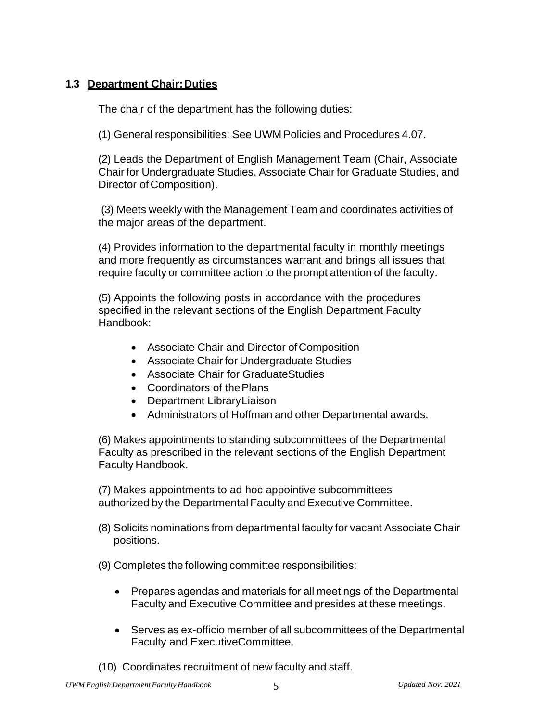### **1.3 Department Chair:Duties**

The chair of the department has the following duties:

(1) General responsibilities: See UWM Policies and Procedures 4.07.

(2) Leads the Department of English Management Team (Chair, Associate Chair for Undergraduate Studies, Associate Chair for Graduate Studies, and Director of Composition).

(3) Meets weekly with the Management Team and coordinates activities of the major areas of the department.

(4) Provides information to the departmental faculty in monthly meetings and more frequently as circumstances warrant and brings all issues that require faculty or committee action to the prompt attention of the faculty.

(5) Appoints the following posts in accordance with the procedures specified in the relevant sections of the English Department Faculty Handbook:

- Associate Chair and Director of Composition
- Associate Chair for Undergraduate Studies
- Associate Chair for GraduateStudies
- Coordinators of thePlans
- Department LibraryLiaison
- Administrators of Hoffman and other Departmental awards.

(6) Makes appointments to standing subcommittees of the Departmental Faculty as prescribed in the relevant sections of the English Department Faculty Handbook.

(7) Makes appointments to ad hoc appointive subcommittees authorized by the Departmental Faculty and Executive Committee.

(8) Solicits nominations from departmental faculty for vacant Associate Chair positions.

(9) Completes the following committee responsibilities:

- Prepares agendas and materials for all meetings of the Departmental Faculty and Executive Committee and presides at these meetings.
- Serves as ex-officio member of all subcommittees of the Departmental Faculty and ExecutiveCommittee.
- (10) Coordinates recruitment of new faculty and staff.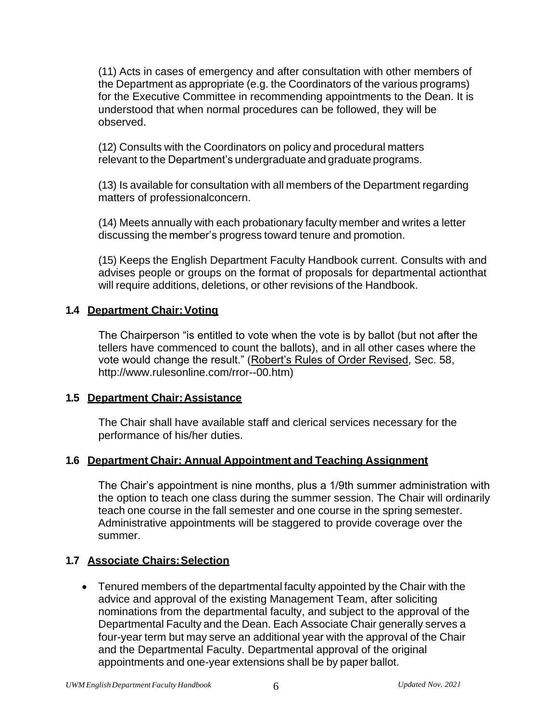(11) Acts in cases of emergency and after consultation with other members of the Department as appropriate (e.g. the Coordinators of the various programs) for the Executive Committee in recommending appointments to the Dean. It is understood that when normal procedures can be followed, they will be observed.

(12) Consults with the Coordinators on policy and procedural matters relevant to the Department's undergraduate and graduate programs.

(13) Is available for consultation with all members of the Department regarding matters of professionalconcern.

(14) Meets annually with each probationary faculty member and writes a letter discussing the member's progress toward tenure and promotion.

(15) Keeps the English Department Faculty Handbook current. Consults with and advises people or groups on the format of proposals for departmental actionthat will require additions, deletions, or other revisions of the Handbook.

### **1.4 Department Chair: Voting**

The Chairperson "is entitled to vote when the vote is by ballot (but not after the tellers have commenced to count the ballots), and in all other cases where the vote would change the result." (Robert's Rules of Order Revised, Sec. 58, [http://www.rulesonline.com/rror--00.htm\)](http://www.rulesonline.com/rror--00.htm))

#### **1.5 Department Chair:Assistance**

The Chair shall have available staff and clerical services necessary for the performance of his/her duties.

### **1.6 Department Chair: Annual Appointment and Teaching Assignment**

The Chair's appointment is nine months, plus a 1/9th summer administration with the option to teach one class during the summer session. The Chair will ordinarily teach one course in the fall semester and one course in the spring semester. Administrative appointments will be staggered to provide coverage over the summer.

### **1.7 Associate Chairs:Selection**

• Tenured members of the departmental faculty appointed by the Chair with the advice and approval of the existing Management Team, after soliciting nominations from the departmental faculty, and subject to the approval of the Departmental Faculty and the Dean. Each Associate Chair generally serves a four-year term but may serve an additional year with the approval of the Chair and the Departmental Faculty. Departmental approval of the original appointments and one-year extensions shall be by paper ballot.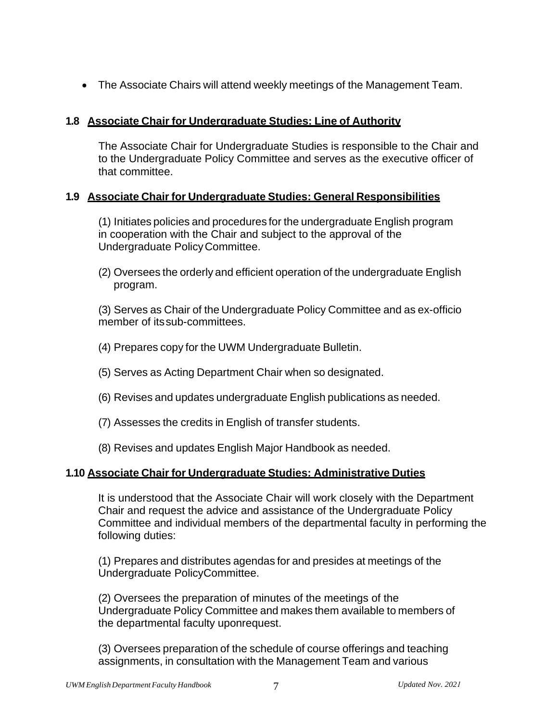• The Associate Chairs will attend weekly meetings of the Management Team.

### **1.8 Associate Chair for Undergraduate Studies: Line of Authority**

The Associate Chair for Undergraduate Studies is responsible to the Chair and to the Undergraduate Policy Committee and serves as the executive officer of that committee.

### **1.9 Associate Chair for Undergraduate Studies: General Responsibilities**

(1) Initiates policies and procedures for the undergraduate English program in cooperation with the Chair and subject to the approval of the Undergraduate PolicyCommittee.

(2) Oversees the orderly and efficient operation of the undergraduate English program.

(3) Serves as Chair of the Undergraduate Policy Committee and as ex-officio member of itssub-committees.

- (4) Prepares copy for the UWM Undergraduate Bulletin.
- (5) Serves as Acting Department Chair when so designated.
- (6) Revises and updates undergraduate English publications as needed.
- (7) Assesses the credits in English of transfer students.
- (8) Revises and updates English Major Handbook as needed.

#### **1.10 Associate Chair for Undergraduate Studies: Administrative Duties**

It is understood that the Associate Chair will work closely with the Department Chair and request the advice and assistance of the Undergraduate Policy Committee and individual members of the departmental faculty in performing the following duties:

(1) Prepares and distributes agendas for and presides at meetings of the Undergraduate PolicyCommittee.

(2) Oversees the preparation of minutes of the meetings of the Undergraduate Policy Committee and makes them available to members of the departmental faculty uponrequest.

(3) Oversees preparation of the schedule of course offerings and teaching assignments, in consultation with the Management Team and various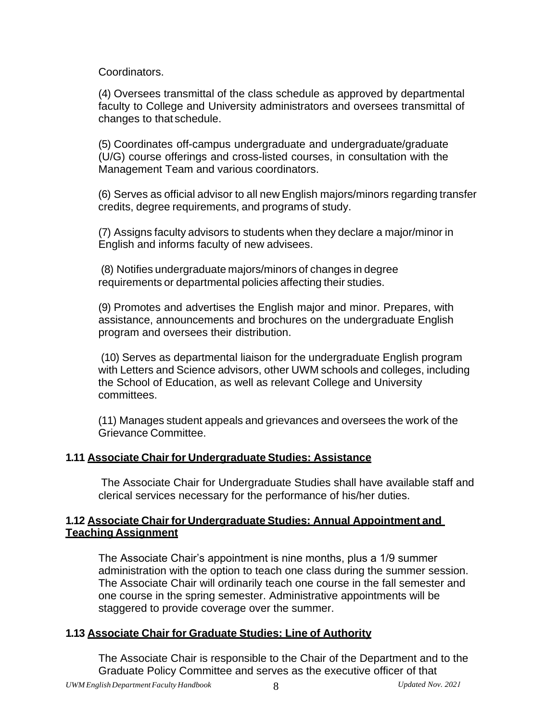Coordinators.

(4) Oversees transmittal of the class schedule as approved by departmental faculty to College and University administrators and oversees transmittal of changes to that schedule.

(5) Coordinates off-campus undergraduate and undergraduate/graduate (U/G) course offerings and cross-listed courses, in consultation with the Management Team and various coordinators.

(6) Serves as official advisor to all new English majors/minors regarding transfer credits, degree requirements, and programs of study.

(7) Assigns faculty advisors to students when they declare a major/minor in English and informs faculty of new advisees.

(8) Notifies undergraduate majors/minors of changes in degree requirements or departmental policies affecting their studies.

(9) Promotes and advertises the English major and minor. Prepares, with assistance, announcements and brochures on the undergraduate English program and oversees their distribution.

(10) Serves as departmental liaison for the undergraduate English program with Letters and Science advisors, other UWM schools and colleges, including the School of Education, as well as relevant College and University committees.

(11) Manages student appeals and grievances and oversees the work of the Grievance Committee.

### **1.11 Associate Chair for Undergraduate Studies: Assistance**

The Associate Chair for Undergraduate Studies shall have available staff and clerical services necessary for the performance of his/her duties.

### **1.12 Associate Chairfor Undergraduate Studies: Annual Appointment and Teaching Assignment**

The Associate Chair's appointment is nine months, plus a 1/9 summer administration with the option to teach one class during the summer session. The Associate Chair will ordinarily teach one course in the fall semester and one course in the spring semester. Administrative appointments will be staggered to provide coverage over the summer.

### **1.13 Associate Chair for Graduate Studies: Line of Authority**

The Associate Chair is responsible to the Chair of the Department and to the Graduate Policy Committee and serves as the executive officer of that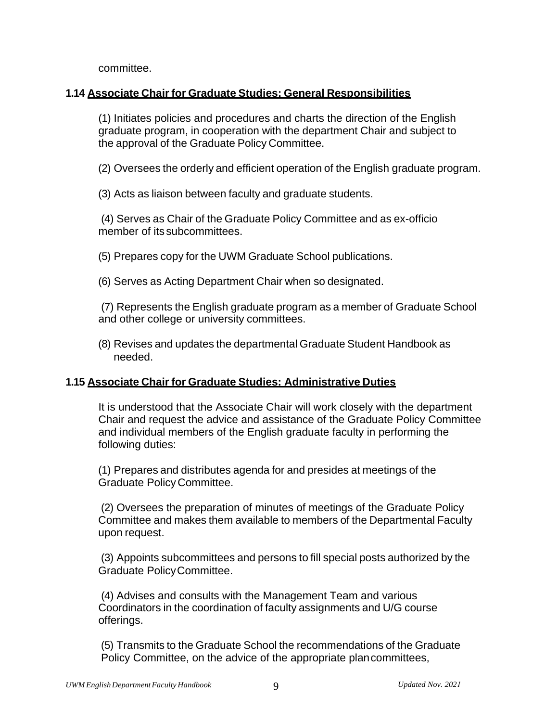committee.

#### **1.14 Associate Chair for Graduate Studies: General Responsibilities**

(1) Initiates policies and procedures and charts the direction of the English graduate program, in cooperation with the department Chair and subject to the approval of the Graduate Policy Committee.

(2) Oversees the orderly and efficient operation of the English graduate program.

(3) Acts as liaison between faculty and graduate students.

(4) Serves as Chair of the Graduate Policy Committee and as ex-officio member of its subcommittees.

(5) Prepares copy for the UWM Graduate School publications.

(6) Serves as Acting Department Chair when so designated.

(7) Represents the English graduate program as a member of Graduate School and other college or university committees.

(8) Revises and updates the departmental Graduate Student Handbook as needed.

#### **1.15 Associate Chair for Graduate Studies: Administrative Duties**

It is understood that the Associate Chair will work closely with the department Chair and request the advice and assistance of the Graduate Policy Committee and individual members of the English graduate faculty in performing the following duties:

(1) Prepares and distributes agenda for and presides at meetings of the Graduate Policy Committee.

(2) Oversees the preparation of minutes of meetings of the Graduate Policy Committee and makes them available to members of the Departmental Faculty upon request.

(3) Appoints subcommittees and persons to fill special posts authorized by the Graduate PolicyCommittee.

(4) Advises and consults with the Management Team and various Coordinators in the coordination of faculty assignments and U/G course offerings.

(5) Transmits to the Graduate School the recommendations of the Graduate Policy Committee, on the advice of the appropriate plancommittees,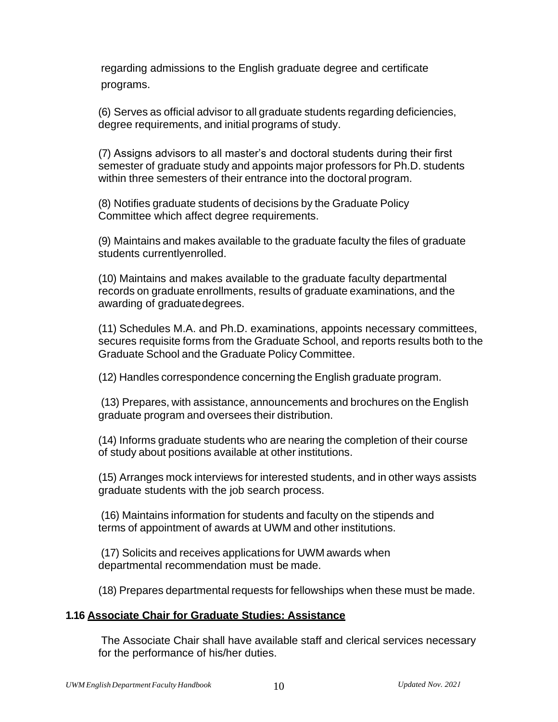regarding admissions to the English graduate degree and certificate programs.

(6) Serves as official advisor to all graduate students regarding deficiencies, degree requirements, and initial programs of study.

(7) Assigns advisors to all master's and doctoral students during their first semester of graduate study and appoints major professors for Ph.D. students within three semesters of their entrance into the doctoral program.

(8) Notifies graduate students of decisions by the Graduate Policy Committee which affect degree requirements.

(9) Maintains and makes available to the graduate faculty the files of graduate students currentlyenrolled.

(10) Maintains and makes available to the graduate faculty departmental records on graduate enrollments, results of graduate examinations, and the awarding of graduatedegrees.

(11) Schedules M.A. and Ph.D. examinations, appoints necessary committees, secures requisite forms from the Graduate School, and reports results both to the Graduate School and the Graduate Policy Committee.

(12) Handles correspondence concerning the English graduate program.

(13) Prepares, with assistance, announcements and brochures on the English graduate program and oversees their distribution.

(14) Informs graduate students who are nearing the completion of their course of study about positions available at other institutions.

(15) Arranges mock interviews for interested students, and in other ways assists graduate students with the job search process.

(16) Maintains information for students and faculty on the stipends and terms of appointment of awards at UWM and other institutions.

(17) Solicits and receives applications for UWM awards when departmental recommendation must be made.

(18) Prepares departmental requests for fellowships when these must be made.

#### **1.16 Associate Chair for Graduate Studies: Assistance**

The Associate Chair shall have available staff and clerical services necessary for the performance of his/her duties.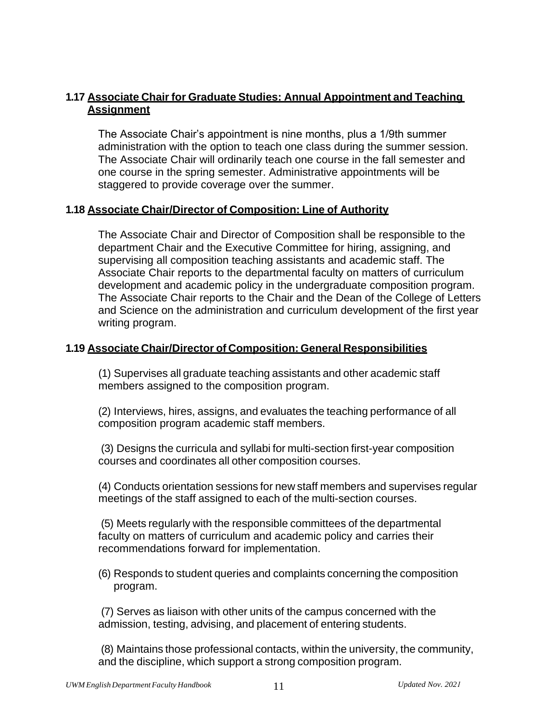# **1.17 Associate Chair for Graduate Studies: Annual Appointment and Teaching Assignment**

The Associate Chair's appointment is nine months, plus a 1/9th summer administration with the option to teach one class during the summer session. The Associate Chair will ordinarily teach one course in the fall semester and one course in the spring semester. Administrative appointments will be staggered to provide coverage over the summer.

### **1.18 Associate Chair/Director of Composition: Line of Authority**

The Associate Chair and Director of Composition shall be responsible to the department Chair and the Executive Committee for hiring, assigning, and supervising all composition teaching assistants and academic staff. The Associate Chair reports to the departmental faculty on matters of curriculum development and academic policy in the undergraduate composition program. The Associate Chair reports to the Chair and the Dean of the College of Letters and Science on the administration and curriculum development of the first year writing program.

### **1.19 Associate Chair/Director of Composition: General Responsibilities**

(1) Supervises all graduate teaching assistants and other academic staff members assigned to the composition program.

(2) Interviews, hires, assigns, and evaluates the teaching performance of all composition program academic staff members.

(3) Designs the curricula and syllabi for multi-section first-year composition courses and coordinates all other composition courses.

(4) Conducts orientation sessions for new staff members and supervises regular meetings of the staff assigned to each of the multi-section courses.

(5) Meets regularly with the responsible committees of the departmental faculty on matters of curriculum and academic policy and carries their recommendations forward for implementation.

(6) Responds to student queries and complaints concerning the composition program.

(7) Serves as liaison with other units of the campus concerned with the admission, testing, advising, and placement of entering students.

(8) Maintains those professional contacts, within the university, the community, and the discipline, which support a strong composition program.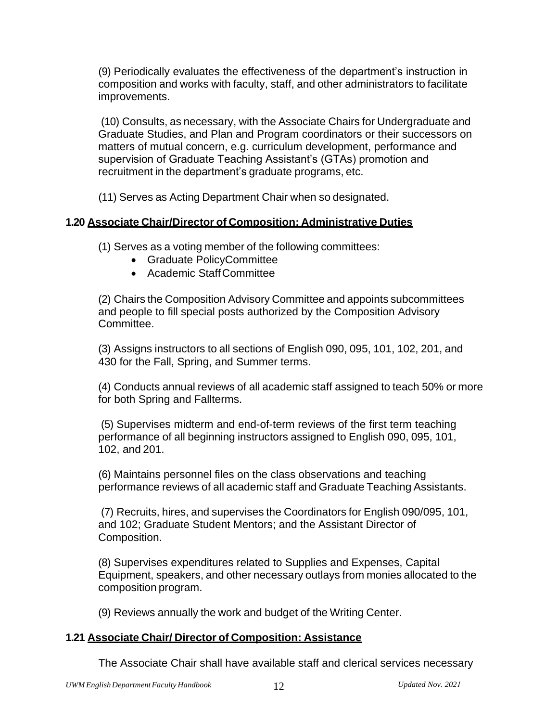(9) Periodically evaluates the effectiveness of the department's instruction in composition and works with faculty, staff, and other administrators to facilitate improvements.

(10) Consults, as necessary, with the Associate Chairs for Undergraduate and Graduate Studies, and Plan and Program coordinators or their successors on matters of mutual concern, e.g. curriculum development, performance and supervision of Graduate Teaching Assistant's (GTAs) promotion and recruitment in the department's graduate programs, etc.

(11) Serves as Acting Department Chair when so designated.

# **1.20 Associate Chair/Director of Composition: Administrative Duties**

(1) Serves as a voting member of the following committees:

- Graduate PolicyCommittee
- Academic StaffCommittee

(2) Chairs the Composition Advisory Committee and appoints subcommittees and people to fill special posts authorized by the Composition Advisory Committee.

(3) Assigns instructors to all sections of English 090, 095, 101, 102, 201, and 430 for the Fall, Spring, and Summer terms.

(4) Conducts annual reviews of all academic staff assigned to teach 50% or more for both Spring and Fallterms.

(5) Supervises midterm and end-of-term reviews of the first term teaching performance of all beginning instructors assigned to English 090, 095, 101, 102, and 201.

(6) Maintains personnel files on the class observations and teaching performance reviews of all academic staff and Graduate Teaching Assistants.

(7) Recruits, hires, and supervises the Coordinators for English 090/095, 101, and 102; Graduate Student Mentors; and the Assistant Director of Composition.

(8) Supervises expenditures related to Supplies and Expenses, Capital Equipment, speakers, and other necessary outlays from monies allocated to the composition program.

(9) Reviews annually the work and budget of the Writing Center.

#### **1.21 Associate Chair/ Director of Composition: Assistance**

The Associate Chair shall have available staff and clerical services necessary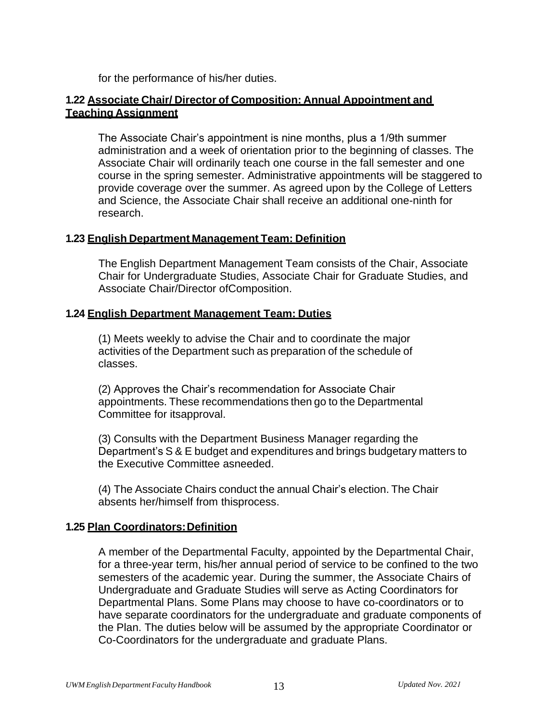for the performance of his/her duties.

### **1.22 Associate Chair/ Director of Composition: Annual Appointment and Teaching Assignment**

The Associate Chair's appointment is nine months, plus a 1/9th summer administration and a week of orientation prior to the beginning of classes. The Associate Chair will ordinarily teach one course in the fall semester and one course in the spring semester. Administrative appointments will be staggered to provide coverage over the summer. As agreed upon by the College of Letters and Science, the Associate Chair shall receive an additional one-ninth for research.

#### **1.23 English Department Management Team: Definition**

The English Department Management Team consists of the Chair, Associate Chair for Undergraduate Studies, Associate Chair for Graduate Studies, and Associate Chair/Director ofComposition.

### **1.24 English Department Management Team: Duties**

(1) Meets weekly to advise the Chair and to coordinate the major activities of the Department such as preparation of the schedule of classes.

(2) Approves the Chair's recommendation for Associate Chair appointments. These recommendations then go to the Departmental Committee for itsapproval.

(3) Consults with the Department Business Manager regarding the Department's S & E budget and expenditures and brings budgetary matters to the Executive Committee asneeded.

(4) The Associate Chairs conduct the annual Chair's election. The Chair absents her/himself from thisprocess.

#### **1.25 Plan Coordinators:Definition**

A member of the Departmental Faculty, appointed by the Departmental Chair, for a three-year term, his/her annual period of service to be confined to the two semesters of the academic year. During the summer, the Associate Chairs of Undergraduate and Graduate Studies will serve as Acting Coordinators for Departmental Plans. Some Plans may choose to have co-coordinators or to have separate coordinators for the undergraduate and graduate components of the Plan. The duties below will be assumed by the appropriate Coordinator or Co-Coordinators for the undergraduate and graduate Plans.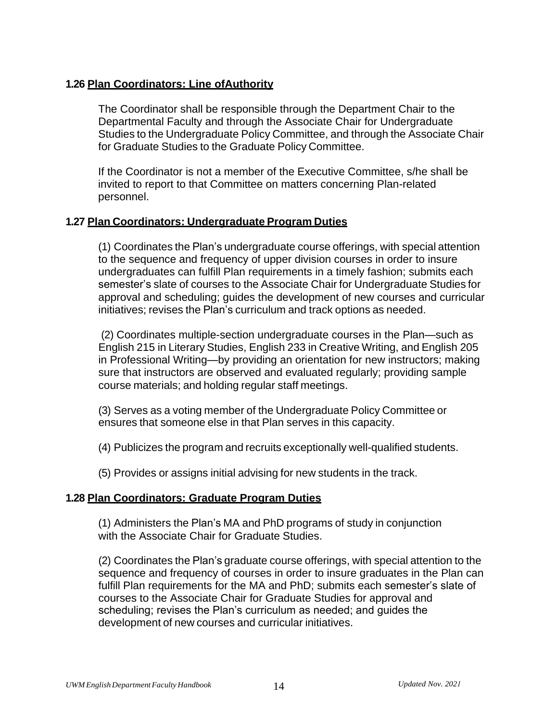#### **1.26 Plan Coordinators: Line ofAuthority**

The Coordinator shall be responsible through the Department Chair to the Departmental Faculty and through the Associate Chair for Undergraduate Studies to the Undergraduate Policy Committee, and through the Associate Chair for Graduate Studies to the Graduate Policy Committee.

If the Coordinator is not a member of the Executive Committee, s/he shall be invited to report to that Committee on matters concerning Plan-related personnel.

### **1.27 Plan Coordinators: Undergraduate Program Duties**

(1) Coordinates the Plan's undergraduate course offerings, with special attention to the sequence and frequency of upper division courses in order to insure undergraduates can fulfill Plan requirements in a timely fashion; submits each semester's slate of courses to the Associate Chair for Undergraduate Studies for approval and scheduling; guides the development of new courses and curricular initiatives; revises the Plan's curriculum and track options as needed.

(2) Coordinates multiple-section undergraduate courses in the Plan—such as English 215 in Literary Studies, English 233 in Creative Writing, and English 205 in Professional Writing—by providing an orientation for new instructors; making sure that instructors are observed and evaluated regularly; providing sample course materials; and holding regular staff meetings.

(3) Serves as a voting member of the Undergraduate Policy Committee or ensures that someone else in that Plan serves in this capacity.

(4) Publicizes the program and recruits exceptionally well-qualified students.

(5) Provides or assigns initial advising for new students in the track.

### **1.28 Plan Coordinators: Graduate Program Duties**

(1) Administers the Plan's MA and PhD programs of study in conjunction with the Associate Chair for Graduate Studies.

(2) Coordinates the Plan's graduate course offerings, with special attention to the sequence and frequency of courses in order to insure graduates in the Plan can fulfill Plan requirements for the MA and PhD; submits each semester's slate of courses to the Associate Chair for Graduate Studies for approval and scheduling; revises the Plan's curriculum as needed; and guides the development of new courses and curricular initiatives.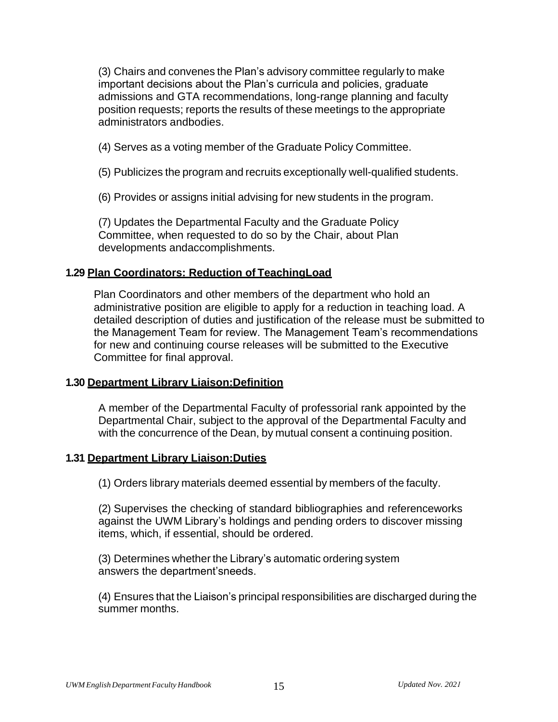(3) Chairs and convenes the Plan's advisory committee regularly to make important decisions about the Plan's curricula and policies, graduate admissions and GTA recommendations, long-range planning and faculty position requests; reports the results of these meetings to the appropriate administrators andbodies.

(4) Serves as a voting member of the Graduate Policy Committee.

(5) Publicizes the program and recruits exceptionally well-qualified students.

(6) Provides or assigns initial advising for new students in the program.

(7) Updates the Departmental Faculty and the Graduate Policy Committee, when requested to do so by the Chair, about Plan developments andaccomplishments.

### **1.29 Plan Coordinators: Reduction of TeachingLoad**

Plan Coordinators and other members of the department who hold an administrative position are eligible to apply for a reduction in teaching load. A detailed description of duties and justification of the release must be submitted to the Management Team for review. The Management Team's recommendations for new and continuing course releases will be submitted to the Executive Committee for final approval.

#### **1.30 Department Library Liaison:Definition**

A member of the Departmental Faculty of professorial rank appointed by the Departmental Chair, subject to the approval of the Departmental Faculty and with the concurrence of the Dean, by mutual consent a continuing position.

#### **1.31 Department Library Liaison:Duties**

(1) Orders library materials deemed essential by members of the faculty.

(2) Supervises the checking of standard bibliographies and referenceworks against the UWM Library's holdings and pending orders to discover missing items, which, if essential, should be ordered.

(3) Determines whether the Library's automatic ordering system answers the department'sneeds.

(4) Ensures that the Liaison's principal responsibilities are discharged during the summer months.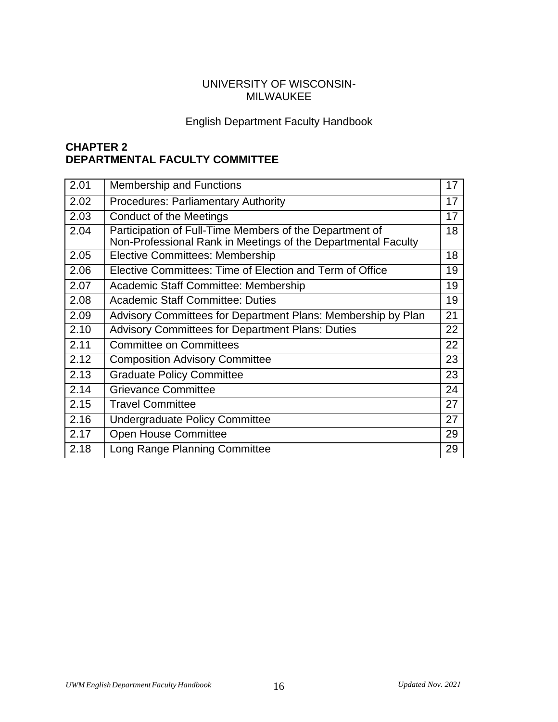### UNIVERSITY OF WISCONSIN-MILWAUKEE

# English Department Faculty Handbook

# **CHAPTER 2 DEPARTMENTAL FACULTY COMMITTEE**

| 2.01 | <b>Membership and Functions</b>                                                                                          | 17 |
|------|--------------------------------------------------------------------------------------------------------------------------|----|
| 2.02 | <b>Procedures: Parliamentary Authority</b>                                                                               | 17 |
| 2.03 | Conduct of the Meetings                                                                                                  | 17 |
| 2.04 | Participation of Full-Time Members of the Department of<br>Non-Professional Rank in Meetings of the Departmental Faculty | 18 |
| 2.05 | <b>Elective Committees: Membership</b>                                                                                   | 18 |
| 2.06 | Elective Committees: Time of Election and Term of Office                                                                 | 19 |
| 2.07 | Academic Staff Committee: Membership                                                                                     | 19 |
| 2.08 | <b>Academic Staff Committee: Duties</b>                                                                                  | 19 |
| 2.09 | Advisory Committees for Department Plans: Membership by Plan                                                             | 21 |
| 2.10 | <b>Advisory Committees for Department Plans: Duties</b>                                                                  | 22 |
| 2.11 | <b>Committee on Committees</b>                                                                                           | 22 |
| 2.12 | <b>Composition Advisory Committee</b>                                                                                    | 23 |
| 2.13 | <b>Graduate Policy Committee</b>                                                                                         | 23 |
| 2.14 | <b>Grievance Committee</b>                                                                                               | 24 |
| 2.15 | <b>Travel Committee</b>                                                                                                  | 27 |
| 2.16 | Undergraduate Policy Committee                                                                                           | 27 |
| 2.17 | <b>Open House Committee</b>                                                                                              | 29 |
| 2.18 | Long Range Planning Committee                                                                                            | 29 |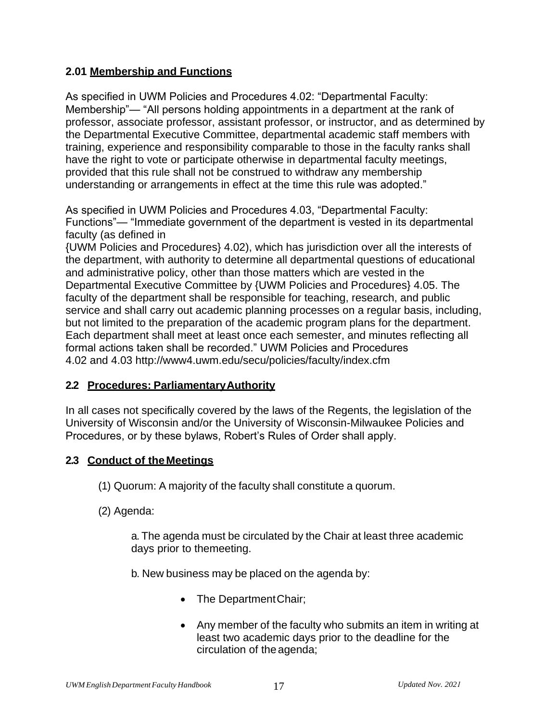### **2.01 Membership and Functions**

As specified in UWM Policies and Procedures 4.02: "Departmental Faculty: Membership"— "All persons holding appointments in a department at the rank of professor, associate professor, assistant professor, or instructor, and as determined by the Departmental Executive Committee, departmental academic staff members with training, experience and responsibility comparable to those in the faculty ranks shall have the right to vote or participate otherwise in departmental faculty meetings, provided that this rule shall not be construed to withdraw any membership understanding or arrangements in effect at the time this rule was adopted."

As specified in UWM Policies and Procedures 4.03, "Departmental Faculty: Functions"— "Immediate government of the department is vested in its departmental faculty (as defined in

{UWM Policies and Procedures} 4.02), which has jurisdiction over all the interests of the department, with authority to determine all departmental questions of educational and administrative policy, other than those matters which are vested in the Departmental Executive Committee by {UWM Policies and Procedures} 4.05. The faculty of the department shall be responsible for teaching, research, and public service and shall carry out academic planning processes on a regular basis, including, but not limited to the preparation of the academic program plans for the department. Each department shall meet at least once each semester, and minutes reflecting all formal actions taken shall be recorded." UWM Policies and Procedures 4.02 and 4.03<http://www4.uwm.edu/secu/policies/faculty/index.cfm>

#### **2.2 Procedures: ParliamentaryAuthority**

In all cases not specifically covered by the laws of the Regents, the legislation of the University of Wisconsin and/or the University of Wisconsin-Milwaukee Policies and Procedures, or by these bylaws, Robert's Rules of Order shall apply.

#### **2.3 Conduct of the Meetings**

(1) Quorum: A majority of the faculty shall constitute a quorum.

(2) Agenda:

a. The agenda must be circulated by the Chair at least three academic days prior to themeeting.

b. New business may be placed on the agenda by:

- The Department Chair;
- Any member of the faculty who submits an item in writing at least two academic days prior to the deadline for the circulation of the agenda;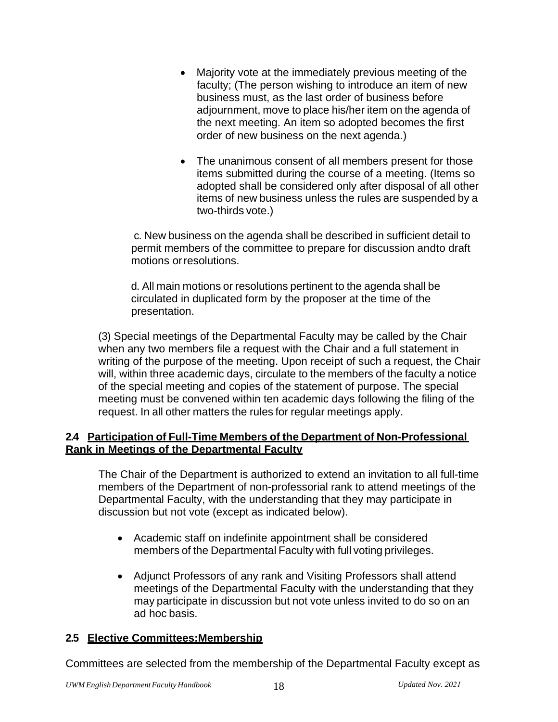- Majority vote at the immediately previous meeting of the faculty; (The person wishing to introduce an item of new business must, as the last order of business before adjournment, move to place his/her item on the agenda of the next meeting. An item so adopted becomes the first order of new business on the next agenda.)
- The unanimous consent of all members present for those items submitted during the course of a meeting. (Items so adopted shall be considered only after disposal of all other items of new business unless the rules are suspended by a two-thirds vote.)

c. New business on the agenda shall be described in sufficient detail to permit members of the committee to prepare for discussion andto draft motions orresolutions.

d. All main motions or resolutions pertinent to the agenda shall be circulated in duplicated form by the proposer at the time of the presentation.

(3) Special meetings of the Departmental Faculty may be called by the Chair when any two members file a request with the Chair and a full statement in writing of the purpose of the meeting. Upon receipt of such a request, the Chair will, within three academic days, circulate to the members of the faculty a notice of the special meeting and copies of the statement of purpose. The special meeting must be convened within ten academic days following the filing of the request. In all other matters the rules for regular meetings apply.

### **2.4 Participation of Full-Time Members of the Department of Non-Professional Rank in Meetings of the Departmental Faculty**

The Chair of the Department is authorized to extend an invitation to all full-time members of the Department of non-professorial rank to attend meetings of the Departmental Faculty, with the understanding that they may participate in discussion but not vote (except as indicated below).

- Academic staff on indefinite appointment shall be considered members of the Departmental Faculty with full voting privileges.
- Adjunct Professors of any rank and Visiting Professors shall attend meetings of the Departmental Faculty with the understanding that they may participate in discussion but not vote unless invited to do so on an ad hoc basis.

### **2.5 Elective Committees:Membership**

Committees are selected from the membership of the Departmental Faculty except as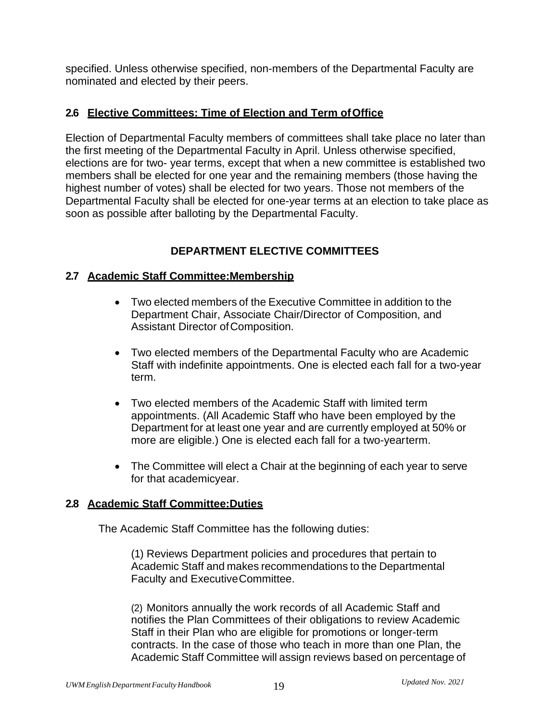specified. Unless otherwise specified, non-members of the Departmental Faculty are nominated and elected by their peers.

#### **2.6 Elective Committees: Time of Election and Term ofOffice**

Election of Departmental Faculty members of committees shall take place no later than the first meeting of the Departmental Faculty in April. Unless otherwise specified, elections are for two- year terms, except that when a new committee is established two members shall be elected for one year and the remaining members (those having the highest number of votes) shall be elected for two years. Those not members of the Departmental Faculty shall be elected for one-year terms at an election to take place as soon as possible after balloting by the Departmental Faculty.

# **DEPARTMENT ELECTIVE COMMITTEES**

### **2.7 Academic Staff Committee:Membership**

- Two elected members of the Executive Committee in addition to the Department Chair, Associate Chair/Director of Composition, and Assistant Director ofComposition.
- Two elected members of the Departmental Faculty who are Academic Staff with indefinite appointments. One is elected each fall for a two-year term.
- Two elected members of the Academic Staff with limited term appointments. (All Academic Staff who have been employed by the Department for at least one year and are currently employed at 50% or more are eligible.) One is elected each fall for a two-yearterm.
- The Committee will elect a Chair at the beginning of each year to serve for that academicyear.

### **2.8 Academic Staff Committee:Duties**

The Academic Staff Committee has the following duties:

(1) Reviews Department policies and procedures that pertain to Academic Staff and makes recommendations to the Departmental Faculty and ExecutiveCommittee.

(2) Monitors annually the work records of all Academic Staff and notifies the Plan Committees of their obligations to review Academic Staff in their Plan who are eligible for promotions or longer-term contracts. In the case of those who teach in more than one Plan, the Academic Staff Committee will assign reviews based on percentage of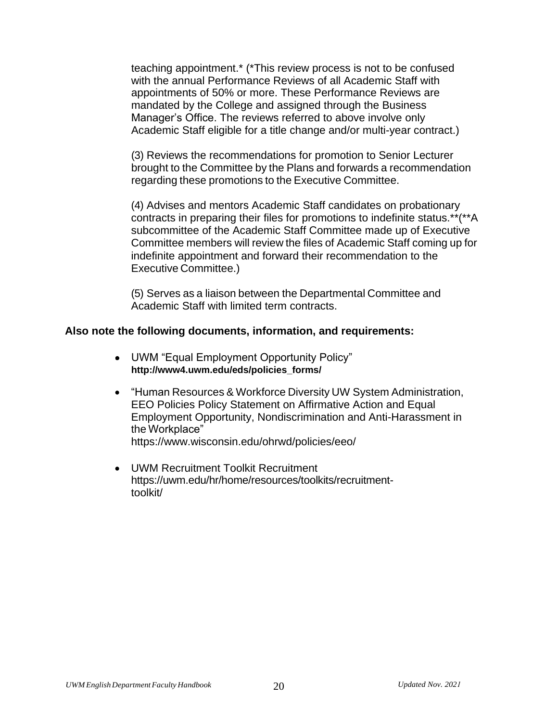teaching appointment.\* (\*This review process is not to be confused with the annual Performance Reviews of all Academic Staff with appointments of 50% or more. These Performance Reviews are mandated by the College and assigned through the Business Manager's Office. The reviews referred to above involve only Academic Staff eligible for a title change and/or multi-year contract.)

(3) Reviews the recommendations for promotion to Senior Lecturer brought to the Committee by the Plans and forwards a recommendation regarding these promotions to the Executive Committee.

(4) Advises and mentors Academic Staff candidates on probationary contracts in preparing their files for promotions to indefinite status.\*\*(\*\*A subcommittee of the Academic Staff Committee made up of Executive Committee members will review the files of Academic Staff coming up for indefinite appointment and forward their recommendation to the Executive Committee.)

(5) Serves as a liaison between the Departmental Committee and Academic Staff with limited term contracts.

#### **Also note the following documents, information, and requirements:**

- UWM "Equal Employment Opportunity Policy" **[http://www4.uwm.edu/eds/policies\\_forms/](http://www4.uwm.edu/eds/policies_forms/)**
- "Human Resources & Workforce Diversity UW System Administration, EEO Policies Policy Statement on Affirmative Action and Equal Employment Opportunity, Nondiscrimination and Anti-Harassment in the Workplace" https:/[/www.wisconsin.edu/ohrwd/policies/eeo/](http://www.wisconsin.edu/ohrwd/policies/eeo/)
- UWM Recruitment Toolkit Recruitment https://uwm.edu/hr/home/resources/toolkits/recruitmenttoolkit/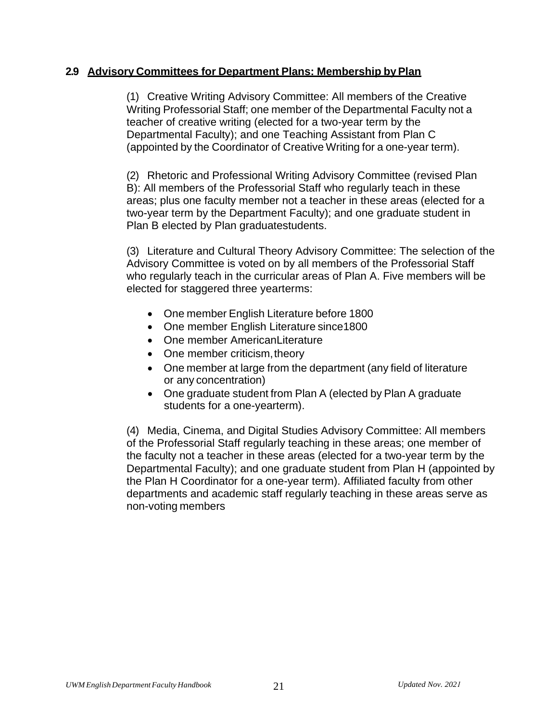#### **2.9 Advisory Committees for Department Plans: Membership byPlan**

(1) Creative Writing Advisory Committee: All members of the Creative Writing Professorial Staff; one member of the Departmental Faculty not a teacher of creative writing (elected for a two-year term by the Departmental Faculty); and one Teaching Assistant from Plan C (appointed by the Coordinator of Creative Writing for a one-year term).

(2) Rhetoric and Professional Writing Advisory Committee (revised Plan B): All members of the Professorial Staff who regularly teach in these areas; plus one faculty member not a teacher in these areas (elected for a two-year term by the Department Faculty); and one graduate student in Plan B elected by Plan graduatestudents.

(3) Literature and Cultural Theory Advisory Committee: The selection of the Advisory Committee is voted on by all members of the Professorial Staff who regularly teach in the curricular areas of Plan A. Five members will be elected for staggered three yearterms:

- One member English Literature before 1800
- One member English Literature since1800
- One member AmericanLiterature
- One member criticism, theory
- One member at large from the department (any field of literature or any concentration)
- One graduate student from Plan A (elected by Plan A graduate students for a one-yearterm).

(4) Media, Cinema, and Digital Studies Advisory Committee: All members of the Professorial Staff regularly teaching in these areas; one member of the faculty not a teacher in these areas (elected for a two-year term by the Departmental Faculty); and one graduate student from Plan H (appointed by the Plan H Coordinator for a one-year term). Affiliated faculty from other departments and academic staff regularly teaching in these areas serve as non-voting members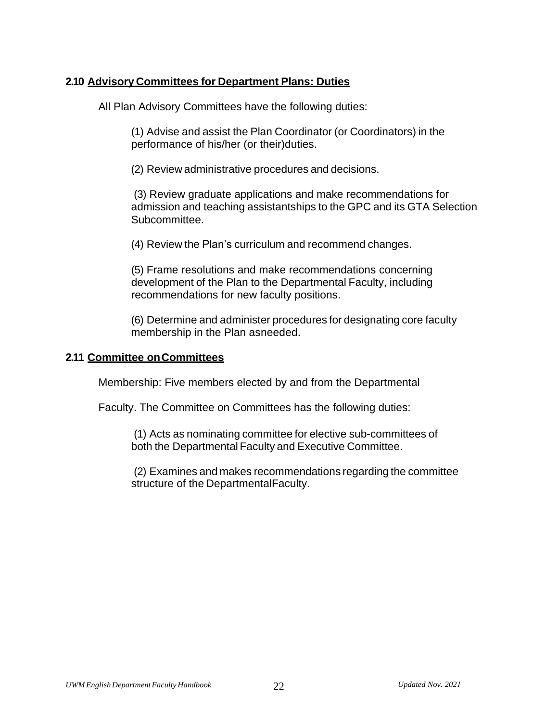### **2.10 Advisory Committees for Department Plans: Duties**

All Plan Advisory Committees have the following duties:

(1) Advise and assist the Plan Coordinator (or Coordinators) in the performance of his/her (or their)duties.

(2) Review administrative procedures and decisions.

(3) Review graduate applications and make recommendations for admission and teaching assistantships to the GPC and its GTA Selection Subcommittee.

(4) Review the Plan's curriculum and recommend changes.

(5) Frame resolutions and make recommendations concerning development of the Plan to the Departmental Faculty, including recommendations for new faculty positions.

(6) Determine and administer procedures for designating core faculty membership in the Plan asneeded.

### **2.11 Committee onCommittees**

Membership: Five members elected by and from the Departmental

Faculty. The Committee on Committees has the following duties:

(1) Acts as nominating committee for elective sub-committees of both the Departmental Faculty and Executive Committee.

(2) Examines and makes recommendations regarding the committee structure of the DepartmentalFaculty.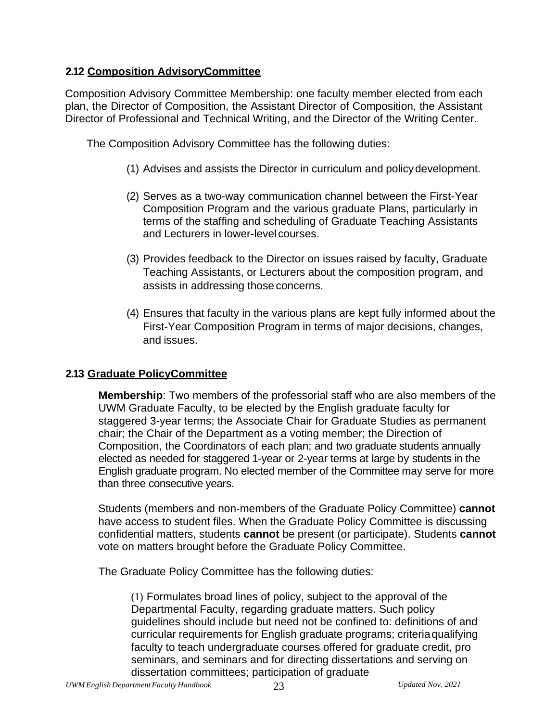### **2.12 Composition AdvisoryCommittee**

Composition Advisory Committee Membership: one faculty member elected from each plan, the Director of Composition, the Assistant Director of Composition, the Assistant Director of Professional and Technical Writing, and the Director of the Writing Center.

The Composition Advisory Committee has the following duties:

- (1) Advises and assists the Director in curriculum and policydevelopment.
- (2) Serves as a two-way communication channel between the First-Year Composition Program and the various graduate Plans, particularly in terms of the staffing and scheduling of Graduate Teaching Assistants and Lecturers in lower-level courses.
- (3) Provides feedback to the Director on issues raised by faculty, Graduate Teaching Assistants, or Lecturers about the composition program, and assists in addressing those concerns.
- (4) Ensures that faculty in the various plans are kept fully informed about the First-Year Composition Program in terms of major decisions, changes, and issues.

### **2.13 Graduate PolicyCommittee**

**Membership**: Two members of the professorial staff who are also members of the UWM Graduate Faculty, to be elected by the English graduate faculty for staggered 3-year terms; the Associate Chair for Graduate Studies as permanent chair; the Chair of the Department as a voting member; the Direction of Composition, the Coordinators of each plan; and two graduate students annually elected as needed for staggered 1-year or 2-year terms at large by students in the English graduate program. No elected member of the Committee may serve for more than three consecutive years.

Students (members and non-members of the Graduate Policy Committee) **cannot**  have access to student files. When the Graduate Policy Committee is discussing confidential matters, students **cannot** be present (or participate). Students **cannot**  vote on matters brought before the Graduate Policy Committee.

The Graduate Policy Committee has the following duties:

(1) Formulates broad lines of policy, subject to the approval of the Departmental Faculty, regarding graduate matters. Such policy guidelines should include but need not be confined to: definitions of and curricular requirements for English graduate programs; criteriaqualifying faculty to teach undergraduate courses offered for graduate credit, pro seminars, and seminars and for directing dissertations and serving on dissertation committees; participation of graduate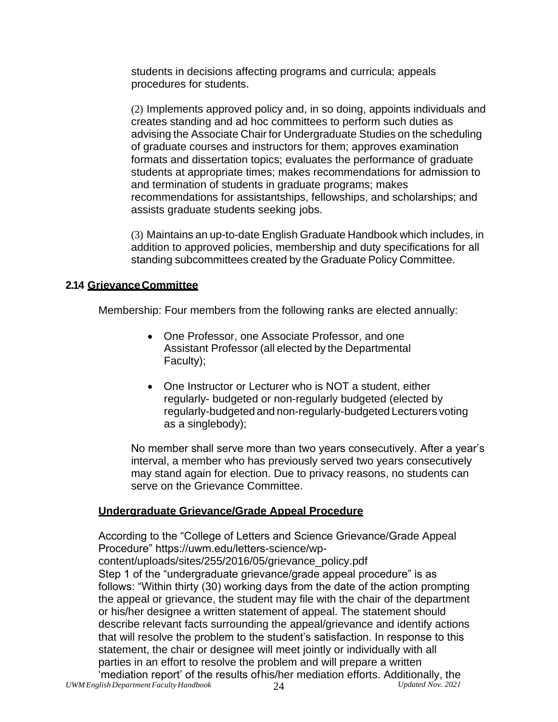students in decisions affecting programs and curricula; appeals procedures for students.

(2) Implements approved policy and, in so doing, appoints individuals and creates standing and ad hoc committees to perform such duties as advising the Associate Chair for Undergraduate Studies on the scheduling of graduate courses and instructors for them; approves examination formats and dissertation topics; evaluates the performance of graduate students at appropriate times; makes recommendations for admission to and termination of students in graduate programs; makes recommendations for assistantships, fellowships, and scholarships; and assists graduate students seeking jobs.

(3) Maintains an up-to-date English Graduate Handbook which includes, in addition to approved policies, membership and duty specifications for all standing subcommittees created by the Graduate Policy Committee.

### **2.14 GrievanceCommittee**

Membership: Four members from the following ranks are elected annually:

- One Professor, one Associate Professor, and one Assistant Professor (all elected by the Departmental Faculty);
- One Instructor or Lecturer who is NOT a student, either regularly- budgeted or non-regularly budgeted (elected by regularly-budgeted and non-regularly-budgeted Lecturers voting as a singlebody);

No member shall serve more than two years consecutively. After a year's interval, a member who has previously served two years consecutively may stand again for election. Due to privacy reasons, no students can serve on the Grievance Committee.

#### **Undergraduate Grievance/Grade Appeal Procedure**

According to the "College of Letters and Science Grievance/Grade Appeal Procedure" https://uwm.edu/letters-science/wpcontent/uploads/sites/255/2016/05/grievance\_policy.pdf Step 1 of the "undergraduate grievance/grade appeal procedure" is as follows: "Within thirty (30) working days from the date of the action prompting the appeal or grievance, the student may file with the chair of the department or his/her designee a written statement of appeal. The statement should describe relevant facts surrounding the appeal/grievance and identify actions that will resolve the problem to the student's satisfaction. In response to this statement, the chair or designee will meet jointly or individually with all parties in an effort to resolve the problem and will prepare a written 'mediation report' of the results ofhis/her mediation efforts. Additionally, the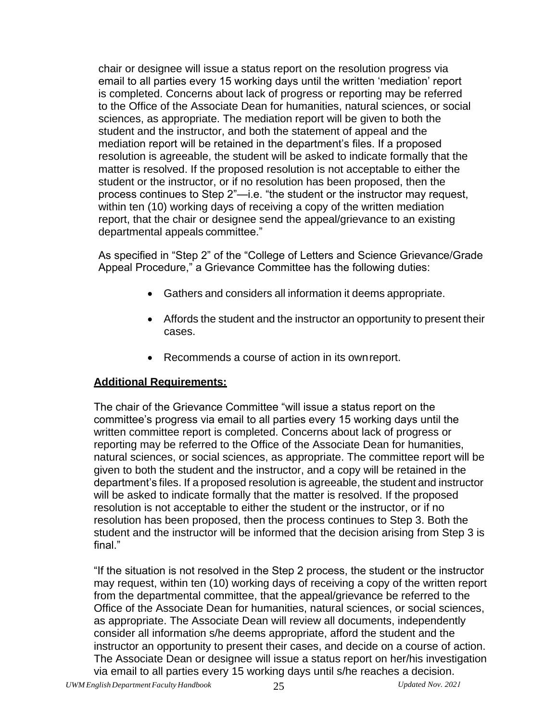chair or designee will issue a status report on the resolution progress via email to all parties every 15 working days until the written 'mediation' report is completed. Concerns about lack of progress or reporting may be referred to the Office of the Associate Dean for humanities, natural sciences, or social sciences, as appropriate. The mediation report will be given to both the student and the instructor, and both the statement of appeal and the mediation report will be retained in the department's files. If a proposed resolution is agreeable, the student will be asked to indicate formally that the matter is resolved. If the proposed resolution is not acceptable to either the student or the instructor, or if no resolution has been proposed, then the process continues to Step 2"—i.e. "the student or the instructor may request, within ten (10) working days of receiving a copy of the written mediation report, that the chair or designee send the appeal/grievance to an existing departmental appeals committee."

As specified in "Step 2" of the "College of Letters and Science Grievance/Grade Appeal Procedure," a Grievance Committee has the following duties:

- Gathers and considers all information it deems appropriate.
- Affords the student and the instructor an opportunity to present their cases.
- Recommends a course of action in its ownreport.

### **Additional Requirements:**

The chair of the Grievance Committee "will issue a status report on the committee's progress via email to all parties every 15 working days until the written committee report is completed. Concerns about lack of progress or reporting may be referred to the Office of the Associate Dean for humanities, natural sciences, or social sciences, as appropriate. The committee report will be given to both the student and the instructor, and a copy will be retained in the department's files. If a proposed resolution is agreeable, the student and instructor will be asked to indicate formally that the matter is resolved. If the proposed resolution is not acceptable to either the student or the instructor, or if no resolution has been proposed, then the process continues to Step 3. Both the student and the instructor will be informed that the decision arising from Step 3 is final."

"If the situation is not resolved in the Step 2 process, the student or the instructor may request, within ten (10) working days of receiving a copy of the written report from the departmental committee, that the appeal/grievance be referred to the Office of the Associate Dean for humanities, natural sciences, or social sciences, as appropriate. The Associate Dean will review all documents, independently consider all information s/he deems appropriate, afford the student and the instructor an opportunity to present their cases, and decide on a course of action. The Associate Dean or designee will issue a status report on her/his investigation via email to all parties every 15 working days until s/he reaches a decision.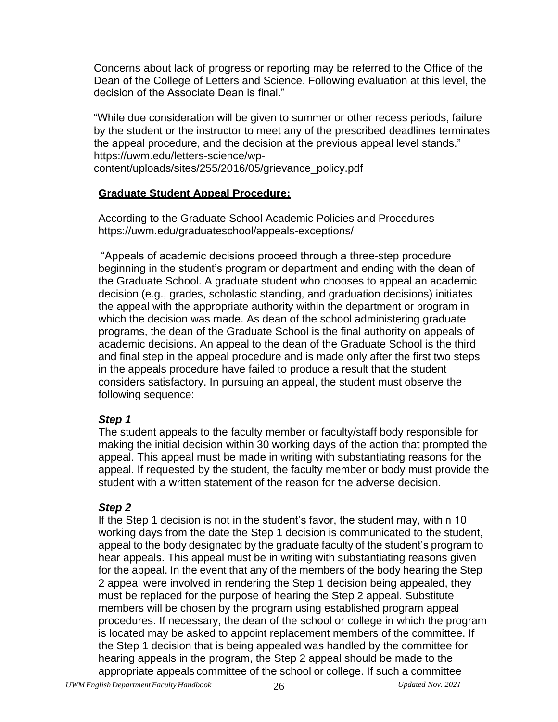Concerns about lack of progress or reporting may be referred to the Office of the Dean of the College of Letters and Science. Following evaluation at this level, the decision of the Associate Dean is final."

"While due consideration will be given to summer or other recess periods, failure by the student or the instructor to meet any of the prescribed deadlines terminates the appeal procedure, and the decision at the previous appeal level stands." https://uwm.edu/letters-science/wpcontent/uploads/sites/255/2016/05/grievance\_policy.pdf

#### **Graduate Student Appeal Procedure:**

According to the Graduate School Academic Policies and Procedures https://uwm.edu/graduateschool/appeals-exceptions/

"Appeals of academic decisions proceed through a three-step procedure beginning in the student's program or department and ending with the dean of the Graduate School. A graduate student who chooses to appeal an academic decision (e.g., grades, scholastic standing, and graduation decisions) initiates the appeal with the appropriate authority within the department or program in which the decision was made. As dean of the school administering graduate programs, the dean of the Graduate School is the final authority on appeals of academic decisions. An appeal to the dean of the Graduate School is the third and final step in the appeal procedure and is made only after the first two steps in the appeals procedure have failed to produce a result that the student considers satisfactory. In pursuing an appeal, the student must observe the following sequence:

### *Step 1*

The student appeals to the faculty member or faculty/staff body responsible for making the initial decision within 30 working days of the action that prompted the appeal. This appeal must be made in writing with substantiating reasons for the appeal. If requested by the student, the faculty member or body must provide the student with a written statement of the reason for the adverse decision.

### *Step 2*

If the Step 1 decision is not in the student's favor, the student may, within 10 working days from the date the Step 1 decision is communicated to the student, appeal to the body designated by the graduate faculty of the student's program to hear appeals. This appeal must be in writing with substantiating reasons given for the appeal. In the event that any of the members of the body hearing the Step 2 appeal were involved in rendering the Step 1 decision being appealed, they must be replaced for the purpose of hearing the Step 2 appeal. Substitute members will be chosen by the program using established program appeal procedures. If necessary, the dean of the school or college in which the program is located may be asked to appoint replacement members of the committee. If the Step 1 decision that is being appealed was handled by the committee for hearing appeals in the program, the Step 2 appeal should be made to the appropriate appeals committee of the school or college. If such a committee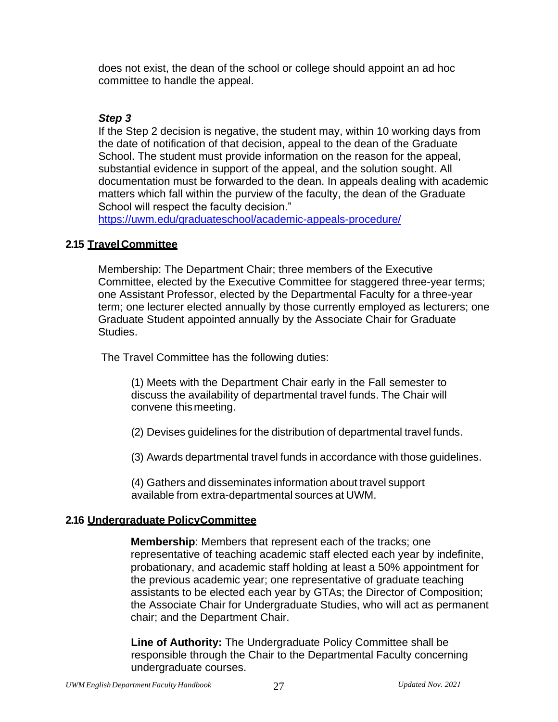does not exist, the dean of the school or college should appoint an ad hoc committee to handle the appeal.

### *Step 3*

If the Step 2 decision is negative, the student may, within 10 working days from the date of notification of that decision, appeal to the dean of the Graduate School. The student must provide information on the reason for the appeal, substantial evidence in support of the appeal, and the solution sought. All documentation must be forwarded to the dean. In appeals dealing with academic matters which fall within the purview of the faculty, the dean of the Graduate School will respect the faculty decision."

<https://uwm.edu/graduateschool/academic-appeals-procedure/>

### **2.15 TravelCommittee**

Membership: The Department Chair; three members of the Executive Committee, elected by the Executive Committee for staggered three-year terms; one Assistant Professor, elected by the Departmental Faculty for a three-year term; one lecturer elected annually by those currently employed as lecturers; one Graduate Student appointed annually by the Associate Chair for Graduate Studies.

The Travel Committee has the following duties:

(1) Meets with the Department Chair early in the Fall semester to discuss the availability of departmental travel funds. The Chair will convene thismeeting.

(2) Devises guidelines for the distribution of departmental travel funds.

(3) Awards departmental travel funds in accordance with those guidelines.

(4) Gathers and disseminates information about travel support available from extra-departmental sources at UWM.

#### **2.16 Undergraduate PolicyCommittee**

**Membership**: Members that represent each of the tracks; one representative of teaching academic staff elected each year by indefinite, probationary, and academic staff holding at least a 50% appointment for the previous academic year; one representative of graduate teaching assistants to be elected each year by GTAs; the Director of Composition; the Associate Chair for Undergraduate Studies, who will act as permanent chair; and the Department Chair.

**Line of Authority:** The Undergraduate Policy Committee shall be responsible through the Chair to the Departmental Faculty concerning undergraduate courses.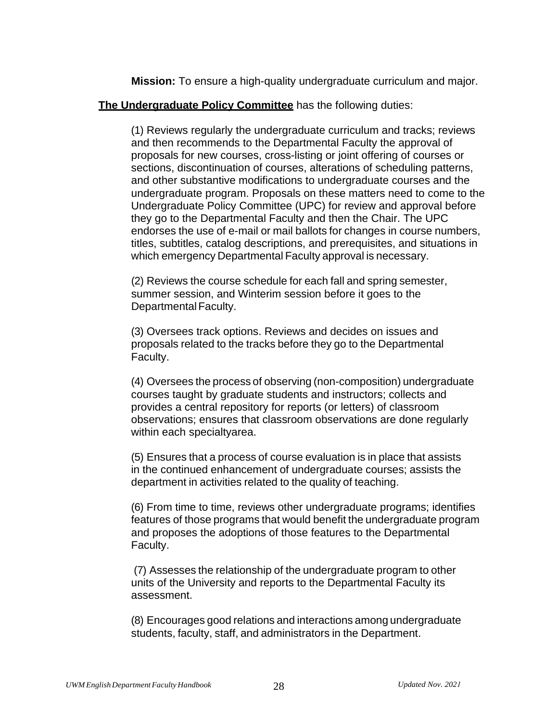**Mission:** To ensure a high-quality undergraduate curriculum and major.

#### **The Undergraduate Policy Committee** has the following duties:

(1) Reviews regularly the undergraduate curriculum and tracks; reviews and then recommends to the Departmental Faculty the approval of proposals for new courses, cross-listing or joint offering of courses or sections, discontinuation of courses, alterations of scheduling patterns, and other substantive modifications to undergraduate courses and the undergraduate program. Proposals on these matters need to come to the Undergraduate Policy Committee (UPC) for review and approval before they go to the Departmental Faculty and then the Chair. The UPC endorses the use of e-mail or mail ballots for changes in course numbers, titles, subtitles, catalog descriptions, and prerequisites, and situations in which emergency Departmental Faculty approval is necessary.

(2) Reviews the course schedule for each fall and spring semester, summer session, and Winterim session before it goes to the Departmental Faculty.

(3) Oversees track options. Reviews and decides on issues and proposals related to the tracks before they go to the Departmental Faculty.

(4) Oversees the process of observing (non-composition) undergraduate courses taught by graduate students and instructors; collects and provides a central repository for reports (or letters) of classroom observations; ensures that classroom observations are done regularly within each specialtyarea.

(5) Ensures that a process of course evaluation is in place that assists in the continued enhancement of undergraduate courses; assists the department in activities related to the quality of teaching.

(6) From time to time, reviews other undergraduate programs; identifies features of those programs that would benefit the undergraduate program and proposes the adoptions of those features to the Departmental Faculty.

(7) Assesses the relationship of the undergraduate program to other units of the University and reports to the Departmental Faculty its assessment.

(8) Encourages good relations and interactions among undergraduate students, faculty, staff, and administrators in the Department.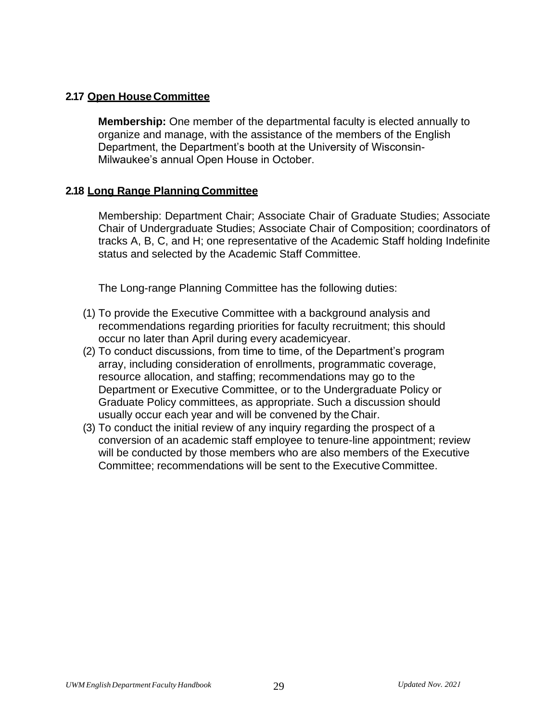### **2.17 Open HouseCommittee**

**Membership:** One member of the departmental faculty is elected annually to organize and manage, with the assistance of the members of the English Department, the Department's booth at the University of Wisconsin-Milwaukee's annual Open House in October.

#### **2.18 Long Range Planning Committee**

Membership: Department Chair; Associate Chair of Graduate Studies; Associate Chair of Undergraduate Studies; Associate Chair of Composition; coordinators of tracks A, B, C, and H; one representative of the Academic Staff holding Indefinite status and selected by the Academic Staff Committee.

The Long-range Planning Committee has the following duties:

- (1) To provide the Executive Committee with a background analysis and recommendations regarding priorities for faculty recruitment; this should occur no later than April during every academicyear.
- (2) To conduct discussions, from time to time, of the Department's program array, including consideration of enrollments, programmatic coverage, resource allocation, and staffing; recommendations may go to the Department or Executive Committee, or to the Undergraduate Policy or Graduate Policy committees, as appropriate. Such a discussion should usually occur each year and will be convened by the Chair.
- (3) To conduct the initial review of any inquiry regarding the prospect of a conversion of an academic staff employee to tenure-line appointment; review will be conducted by those members who are also members of the Executive Committee; recommendations will be sent to the Executive Committee.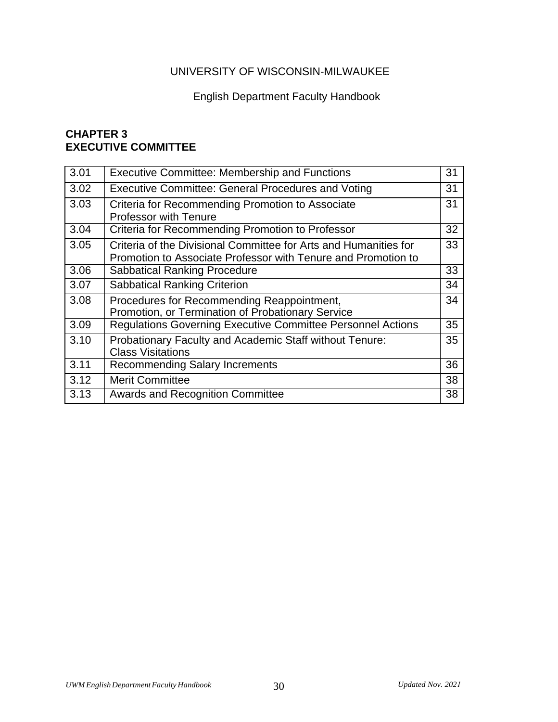# UNIVERSITY OF WISCONSIN-MILWAUKEE

# English Department Faculty Handbook

### **CHAPTER 3 EXECUTIVE COMMITTEE**

| 3.01 | <b>Executive Committee: Membership and Functions</b>                                                                              | 31 |
|------|-----------------------------------------------------------------------------------------------------------------------------------|----|
| 3.02 | <b>Executive Committee: General Procedures and Voting</b>                                                                         | 31 |
| 3.03 | Criteria for Recommending Promotion to Associate<br><b>Professor with Tenure</b>                                                  | 31 |
| 3.04 | Criteria for Recommending Promotion to Professor                                                                                  | 32 |
| 3.05 | Criteria of the Divisional Committee for Arts and Humanities for<br>Promotion to Associate Professor with Tenure and Promotion to | 33 |
| 3.06 | <b>Sabbatical Ranking Procedure</b>                                                                                               | 33 |
| 3.07 | <b>Sabbatical Ranking Criterion</b>                                                                                               | 34 |
| 3.08 | Procedures for Recommending Reappointment,<br>Promotion, or Termination of Probationary Service                                   | 34 |
| 3.09 | <b>Regulations Governing Executive Committee Personnel Actions</b>                                                                | 35 |
| 3.10 | Probationary Faculty and Academic Staff without Tenure:<br><b>Class Visitations</b>                                               | 35 |
| 3.11 | <b>Recommending Salary Increments</b>                                                                                             | 36 |
| 3.12 | <b>Merit Committee</b>                                                                                                            | 38 |
| 3.13 | <b>Awards and Recognition Committee</b>                                                                                           | 38 |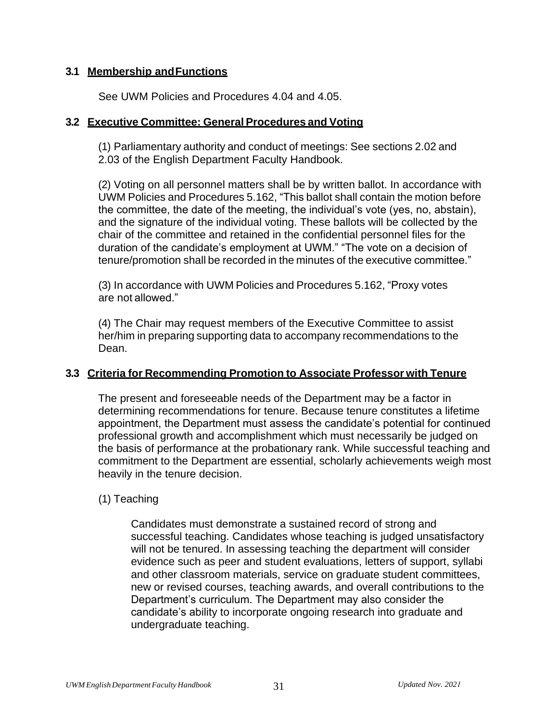### **3.1 Membership andFunctions**

See UWM Policies and Procedures 4.04 and 4.05.

#### **3.2 Executive Committee: General Procedures and Voting**

(1) Parliamentary authority and conduct of meetings: See sections 2.02 and 2.03 of the English Department Faculty Handbook.

(2) Voting on all personnel matters shall be by written ballot. In accordance with UWM Policies and Procedures 5.162, "This ballot shall contain the motion before the committee, the date of the meeting, the individual's vote (yes, no, abstain), and the signature of the individual voting. These ballots will be collected by the chair of the committee and retained in the confidential personnel files for the duration of the candidate's employment at UWM." "The vote on a decision of tenure/promotion shall be recorded in the minutes of the executive committee."

(3) In accordance with UWM Policies and Procedures 5.162, "Proxy votes are not allowed."

(4) The Chair may request members of the Executive Committee to assist her/him in preparing supporting data to accompany recommendations to the Dean.

### **3.3 Criteria for Recommending Promotion to Associate Professor with Tenure**

The present and foreseeable needs of the Department may be a factor in determining recommendations for tenure. Because tenure constitutes a lifetime appointment, the Department must assess the candidate's potential for continued professional growth and accomplishment which must necessarily be judged on the basis of performance at the probationary rank. While successful teaching and commitment to the Department are essential, scholarly achievements weigh most heavily in the tenure decision.

### (1) Teaching

Candidates must demonstrate a sustained record of strong and successful teaching. Candidates whose teaching is judged unsatisfactory will not be tenured. In assessing teaching the department will consider evidence such as peer and student evaluations, letters of support, syllabi and other classroom materials, service on graduate student committees, new or revised courses, teaching awards, and overall contributions to the Department's curriculum. The Department may also consider the candidate's ability to incorporate ongoing research into graduate and undergraduate teaching.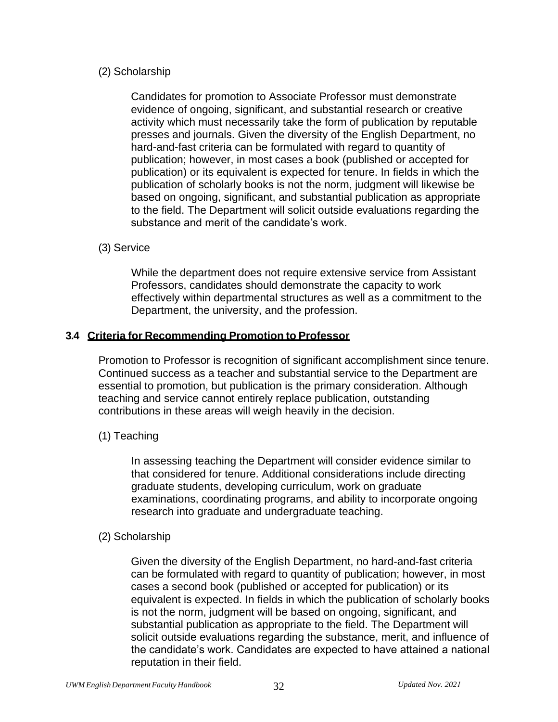### (2) Scholarship

Candidates for promotion to Associate Professor must demonstrate evidence of ongoing, significant, and substantial research or creative activity which must necessarily take the form of publication by reputable presses and journals. Given the diversity of the English Department, no hard-and-fast criteria can be formulated with regard to quantity of publication; however, in most cases a book (published or accepted for publication) or its equivalent is expected for tenure. In fields in which the publication of scholarly books is not the norm, judgment will likewise be based on ongoing, significant, and substantial publication as appropriate to the field. The Department will solicit outside evaluations regarding the substance and merit of the candidate's work.

#### (3) Service

While the department does not require extensive service from Assistant Professors, candidates should demonstrate the capacity to work effectively within departmental structures as well as a commitment to the Department, the university, and the profession.

#### **3.4 Criteria for Recommending Promotion to Professor**

Promotion to Professor is recognition of significant accomplishment since tenure. Continued success as a teacher and substantial service to the Department are essential to promotion, but publication is the primary consideration. Although teaching and service cannot entirely replace publication, outstanding contributions in these areas will weigh heavily in the decision.

### (1) Teaching

In assessing teaching the Department will consider evidence similar to that considered for tenure. Additional considerations include directing graduate students, developing curriculum, work on graduate examinations, coordinating programs, and ability to incorporate ongoing research into graduate and undergraduate teaching.

#### (2) Scholarship

Given the diversity of the English Department, no hard-and-fast criteria can be formulated with regard to quantity of publication; however, in most cases a second book (published or accepted for publication) or its equivalent is expected. In fields in which the publication of scholarly books is not the norm, judgment will be based on ongoing, significant, and substantial publication as appropriate to the field. The Department will solicit outside evaluations regarding the substance, merit, and influence of the candidate's work. Candidates are expected to have attained a national reputation in their field.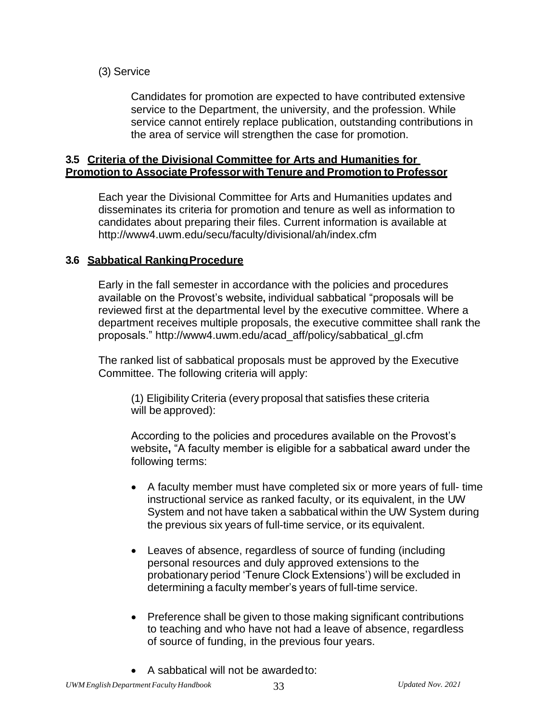(3) Service

Candidates for promotion are expected to have contributed extensive service to the Department, the university, and the profession. While service cannot entirely replace publication, outstanding contributions in the area of service will strengthen the case for promotion.

### **3.5 Criteria of the Divisional Committee for Arts and Humanities for Promotion to Associate Professor with Tenure and Promotion to Professor**

Each year the Divisional Committee for Arts and Humanities updates and disseminates its criteria for promotion and tenure as well as information to candidates about preparing their files. Current information is available at <http://www4.uwm.edu/secu/faculty/divisional/ah/index.cfm>

### **3.6 Sabbatical RankingProcedure**

Early in the fall semester in accordance with the policies and procedures available on the Provost's website**,** individual sabbatical "proposals will be reviewed first at the departmental level by the executive committee. Where a department receives multiple proposals, the executive committee shall rank the proposals." [http://www4.uwm.edu/acad\\_aff/policy/sabbatical\\_gl.cfm](http://www4.uwm.edu/acad_aff/policy/sabbatical_gl.cfm)

The ranked list of sabbatical proposals must be approved by the Executive Committee. The following criteria will apply:

(1) Eligibility Criteria (every proposal that satisfies these criteria will be approved):

According to the policies and procedures available on the Provost's website**,** "A faculty member is eligible for a sabbatical award under the following terms:

- A faculty member must have completed six or more years of full- time instructional service as ranked faculty, or its equivalent, in the UW System and not have taken a sabbatical within the UW System during the previous six years of full-time service, or its equivalent.
- Leaves of absence, regardless of source of funding (including personal resources and duly approved extensions to the probationary period 'Tenure Clock Extensions') will be excluded in determining a faculty member's years of full-time service.
- Preference shall be given to those making significant contributions to teaching and who have not had a leave of absence, regardless of source of funding, in the previous four years.
- A sabbatical will not be awardedto: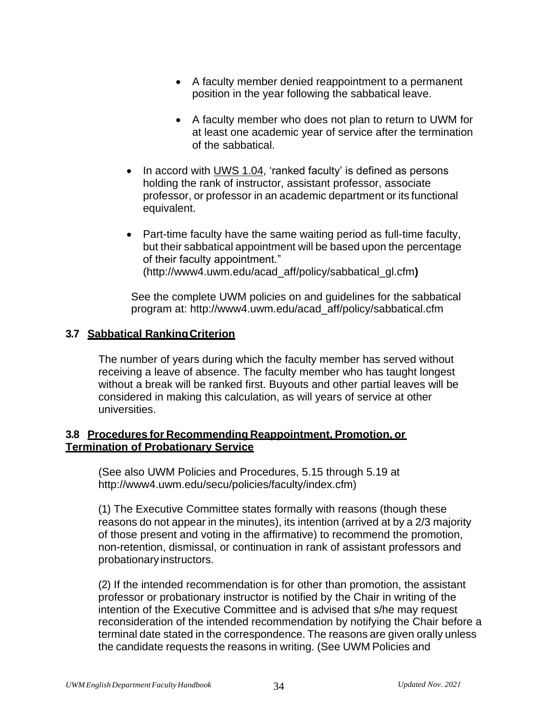- A faculty member denied reappointment to a permanent position in the year following the sabbatical leave.
- A faculty member who does not plan to return to UWM for at least one academic year of service after the termination of the sabbatical.
- In accord with UWS 1.04, 'ranked faculty' is defined as persons holding the rank of instructor, assistant professor, associate professor, or professor in an academic department or its functional equivalent.
- Part-time faculty have the same waiting period as full-time faculty, but their sabbatical appointment will be based upon the percentage of their faculty appointment." [\(http://www4.uwm.edu/acad\\_aff/policy/sabbatical\\_gl.cfm](http://www4.uwm.edu/acad_aff/policy/sabbatical_gl.cfm))**)**

See the complete UWM policies on and guidelines for the sabbatical program at: [http://www4.uwm.edu/acad\\_aff/policy/sabbatical.cfm](http://www4.uwm.edu/acad_aff/policy/sabbatical.cfm)

### **3.7 Sabbatical RankingCriterion**

The number of years during which the faculty member has served without receiving a leave of absence. The faculty member who has taught longest without a break will be ranked first. Buyouts and other partial leaves will be considered in making this calculation, as will years of service at other universities.

#### **3.8 Procedures for Recommending Reappointment, Promotion, or Termination of Probationary Service**

(See also UWM Policies and Procedures, 5.15 through 5.19 at [http://www4.uwm.edu/secu/policies/faculty/index.cfm\)](http://www4.uwm.edu/secu/policies/faculty/index.cfm))

(1) The Executive Committee states formally with reasons (though these reasons do not appear in the minutes), its intention (arrived at by a 2/3 majority of those present and voting in the affirmative) to recommend the promotion, non-retention, dismissal, or continuation in rank of assistant professors and probationary instructors.

(2) If the intended recommendation is for other than promotion, the assistant professor or probationary instructor is notified by the Chair in writing of the intention of the Executive Committee and is advised that s/he may request reconsideration of the intended recommendation by notifying the Chair before a terminal date stated in the correspondence. The reasons are given orally unless the candidate requests the reasons in writing. (See UWM Policies and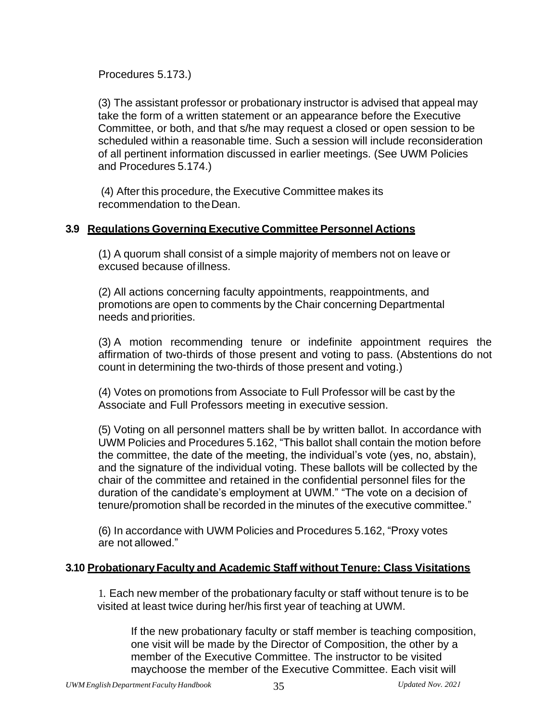Procedures 5.173.)

(3) The assistant professor or probationary instructor is advised that appeal may take the form of a written statement or an appearance before the Executive Committee, or both, and that s/he may request a closed or open session to be scheduled within a reasonable time. Such a session will include reconsideration of all pertinent information discussed in earlier meetings. (See UWM Policies and Procedures 5.174.)

(4) After this procedure, the Executive Committee makes its recommendation to theDean.

### **3.9 Regulations Governing Executive Committee Personnel Actions**

(1) A quorum shall consist of a simple majority of members not on leave or excused because of illness.

(2) All actions concerning faculty appointments, reappointments, and promotions are open to comments by the Chair concerning Departmental needs and priorities.

(3) A motion recommending tenure or indefinite appointment requires the affirmation of two-thirds of those present and voting to pass. (Abstentions do not count in determining the two-thirds of those present and voting.)

(4) Votes on promotions from Associate to Full Professor will be cast by the Associate and Full Professors meeting in executive session.

(5) Voting on all personnel matters shall be by written ballot. In accordance with UWM Policies and Procedures 5.162, "This ballot shall contain the motion before the committee, the date of the meeting, the individual's vote (yes, no, abstain), and the signature of the individual voting. These ballots will be collected by the chair of the committee and retained in the confidential personnel files for the duration of the candidate's employment at UWM." "The vote on a decision of tenure/promotion shall be recorded in the minutes of the executive committee."

(6) In accordance with UWM Policies and Procedures 5.162, "Proxy votes are not allowed."

### **3.10 ProbationaryFaculty and Academic Staff without Tenure: Class Visitations**

1. Each new member of the probationary faculty or staff without tenure is to be visited at least twice during her/his first year of teaching at UWM.

If the new probationary faculty or staff member is teaching composition, one visit will be made by the Director of Composition, the other by a member of the Executive Committee. The instructor to be visited maychoose the member of the Executive Committee. Each visit will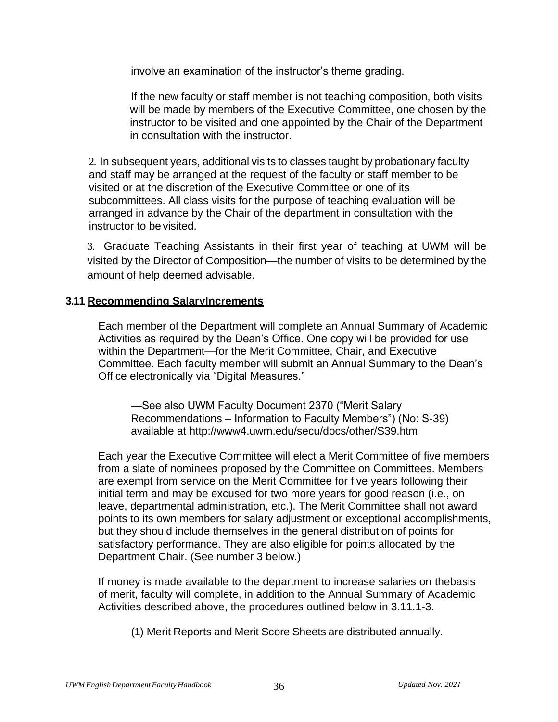involve an examination of the instructor's theme grading.

If the new faculty or staff member is not teaching composition, both visits will be made by members of the Executive Committee, one chosen by the instructor to be visited and one appointed by the Chair of the Department in consultation with the instructor.

2. In subsequent years, additional visits to classes taught by probationary faculty and staff may be arranged at the request of the faculty or staff member to be visited or at the discretion of the Executive Committee or one of its subcommittees. All class visits for the purpose of teaching evaluation will be arranged in advance by the Chair of the department in consultation with the instructor to be visited.

3. Graduate Teaching Assistants in their first year of teaching at UWM will be visited by the Director of Composition—the number of visits to be determined by the amount of help deemed advisable.

#### **3.11 Recommending SalaryIncrements**

Each member of the Department will complete an Annual Summary of Academic Activities as required by the Dean's Office. One copy will be provided for use within the Department—for the Merit Committee, Chair, and Executive Committee. Each faculty member will submit an Annual Summary to the Dean's Office electronically via "Digital Measures."

—See also UWM Faculty Document 2370 ("Merit Salary Recommendations – Information to Faculty Members") (No: S-39) available at [http://www4.uwm.edu/secu/docs/other/S39.htm](http://www4.uwm.edu/secu/policies/saap/upload/S39.htm)

Each year the Executive Committee will elect a Merit Committee of five members from a slate of nominees proposed by the Committee on Committees. Members are exempt from service on the Merit Committee for five years following their initial term and may be excused for two more years for good reason (i.e., on leave, departmental administration, etc.). The Merit Committee shall not award points to its own members for salary adjustment or exceptional accomplishments, but they should include themselves in the general distribution of points for satisfactory performance. They are also eligible for points allocated by the Department Chair. (See number 3 below.)

If money is made available to the department to increase salaries on thebasis of merit, faculty will complete, in addition to the Annual Summary of Academic Activities described above, the procedures outlined below in 3.11.1-3.

(1) Merit Reports and Merit Score Sheets are distributed annually.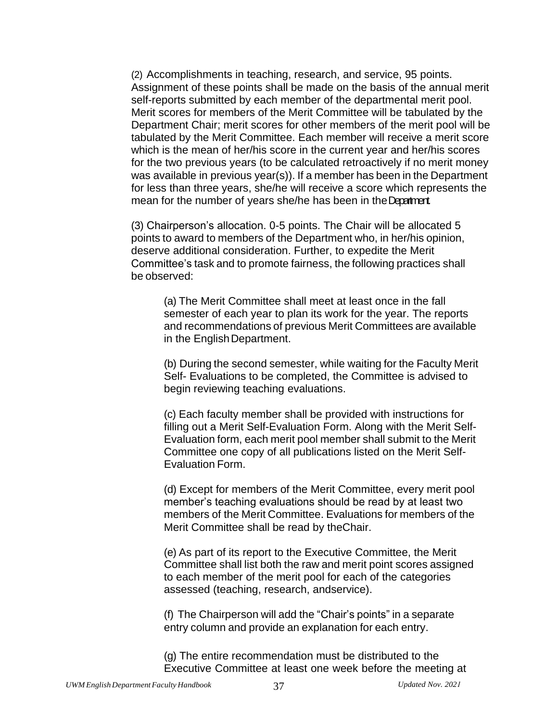(2) Accomplishments in teaching, research, and service, 95 points. Assignment of these points shall be made on the basis of the annual merit self-reports submitted by each member of the departmental merit pool. Merit scores for members of the Merit Committee will be tabulated by the Department Chair; merit scores for other members of the merit pool will be tabulated by the Merit Committee. Each member will receive a merit score which is the mean of her/his score in the current year and her/his scores for the two previous years (to be calculated retroactively if no merit money was available in previous year(s)). If a member has been in the Department for less than three years, she/he will receive a score which represents the mean for the number of years she/he has been in the Department.

(3) Chairperson's allocation. 0-5 points. The Chair will be allocated 5 points to award to members of the Department who, in her/his opinion, deserve additional consideration. Further, to expedite the Merit Committee's task and to promote fairness, the following practices shall be observed:

(a) The Merit Committee shall meet at least once in the fall semester of each year to plan its work for the year. The reports and recommendations of previous Merit Committees are available in the English Department.

(b) During the second semester, while waiting for the Faculty Merit Self- Evaluations to be completed, the Committee is advised to begin reviewing teaching evaluations.

(c) Each faculty member shall be provided with instructions for filling out a Merit Self-Evaluation Form. Along with the Merit Self-Evaluation form, each merit pool member shall submit to the Merit Committee one copy of all publications listed on the Merit Self-Evaluation Form.

(d) Except for members of the Merit Committee, every merit pool member's teaching evaluations should be read by at least two members of the Merit Committee. Evaluations for members of the Merit Committee shall be read by theChair.

(e) As part of its report to the Executive Committee, the Merit Committee shall list both the raw and merit point scores assigned to each member of the merit pool for each of the categories assessed (teaching, research, andservice).

(f) The Chairperson will add the "Chair's points" in a separate entry column and provide an explanation for each entry.

(g) The entire recommendation must be distributed to the Executive Committee at least one week before the meeting at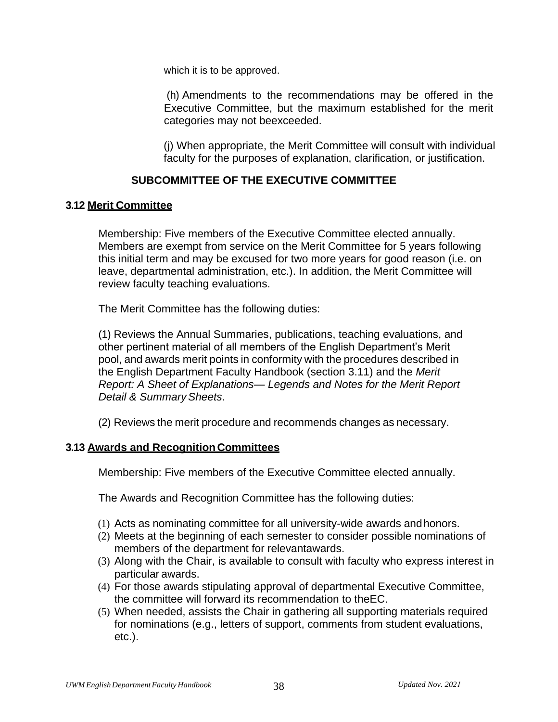which it is to be approved.

(h) Amendments to the recommendations may be offered in the Executive Committee, but the maximum established for the merit categories may not beexceeded.

(j) When appropriate, the Merit Committee will consult with individual faculty for the purposes of explanation, clarification, or justification.

### **SUBCOMMITTEE OF THE EXECUTIVE COMMITTEE**

#### **3.12 Merit Committee**

Membership: Five members of the Executive Committee elected annually. Members are exempt from service on the Merit Committee for 5 years following this initial term and may be excused for two more years for good reason (i.e. on leave, departmental administration, etc.). In addition, the Merit Committee will review faculty teaching evaluations.

The Merit Committee has the following duties:

(1) Reviews the Annual Summaries, publications, teaching evaluations, and other pertinent material of all members of the English Department's Merit pool, and awards merit points in conformity with the procedures described in the English Department Faculty Handbook (section 3.11) and the *Merit Report: A Sheet of Explanations— Legends and Notes for the Merit Report Detail & SummarySheets*.

(2) Reviews the merit procedure and recommends changes as necessary.

#### **3.13 Awards and RecognitionCommittees**

Membership: Five members of the Executive Committee elected annually.

The Awards and Recognition Committee has the following duties:

- (1) Acts as nominating committee for all university-wide awards andhonors.
- (2) Meets at the beginning of each semester to consider possible nominations of members of the department for relevantawards.
- (3) Along with the Chair, is available to consult with faculty who express interest in particular awards.
- (4) For those awards stipulating approval of departmental Executive Committee, the committee will forward its recommendation to theEC.
- (5) When needed, assists the Chair in gathering all supporting materials required for nominations (e.g., letters of support, comments from student evaluations, etc.).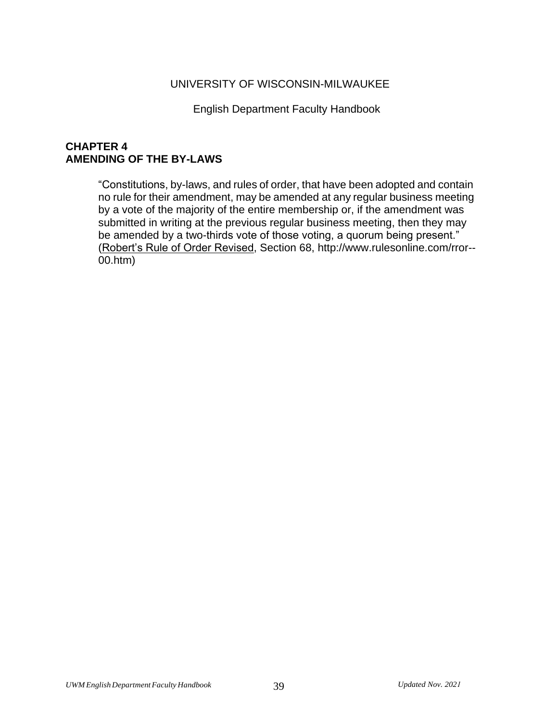#### UNIVERSITY OF WISCONSIN-MILWAUKEE

English Department Faculty Handbook

#### **CHAPTER 4 AMENDING OF THE BY-LAWS**

"Constitutions, by-laws, and rules of order, that have been adopted and contain no rule for their amendment, may be amended at any regular business meeting by a vote of the majority of the entire membership or, if the amendment was submitted in writing at the previous regular business meeting, then they may be amended by a two-thirds vote of those voting, a quorum being present." (Robert's Rule of Order Revised, Section 68, [http://www.rulesonline.com/rror--](http://www.rulesonline.com/rror--00.htm)) [00.htm\)](http://www.rulesonline.com/rror--00.htm))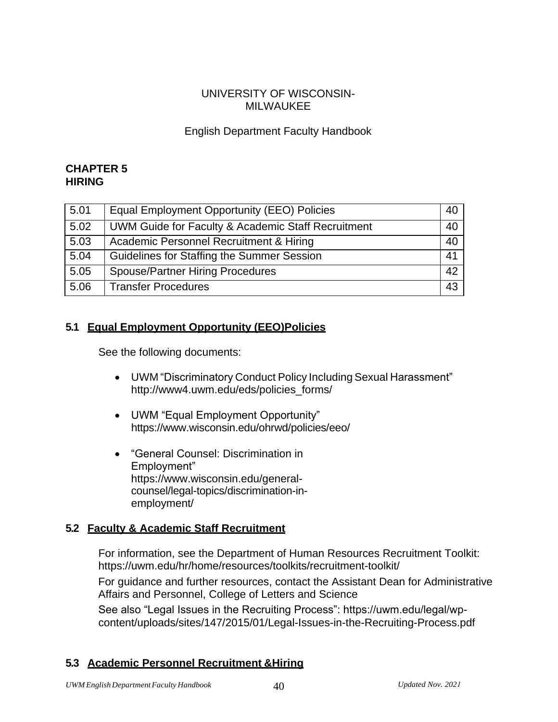#### UNIVERSITY OF WISCONSIN-MILWAUKEE

### English Department Faculty Handbook

#### **CHAPTER 5 HIRING**

| 5.01 | Equal Employment Opportunity (EEO) Policies        | 40 |
|------|----------------------------------------------------|----|
| 5.02 | UWM Guide for Faculty & Academic Staff Recruitment | 40 |
| 5.03 | Academic Personnel Recruitment & Hiring            | 40 |
| 5.04 | Guidelines for Staffing the Summer Session         | 41 |
| 5.05 | <b>Spouse/Partner Hiring Procedures</b>            | 42 |
| 5.06 | <b>Transfer Procedures</b>                         | 43 |

### **5.1 Equal Employment Opportunity (EEO)Policies**

See the following documents:

- UWM "Discriminatory Conduct Policy Including Sexual Harassment" [http://www4.uwm.edu/eds/policies\\_forms/](http://www4.uwm.edu/eds/policies_forms/)
- UWM "Equal Employment Opportunity" https:/[/www.wisconsin.edu/ohrwd/policies/eeo/](http://www.wisconsin.edu/ohrwd/policies/eeo/)
- "General Counsel: Discrimination in Employment" [https://www.wisconsin.edu/general](http://www.uwsa.edu/gc-off/deskbook/discrm.htm)[counsel/legal-topics/discrimination-in](http://www.uwsa.edu/gc-off/deskbook/discrm.htm)[employment/](http://www.uwsa.edu/gc-off/deskbook/discrm.htm)

### **5.2 Faculty & Academic Staff Recruitment**

For information, see the Department of Human Resources Recruitment Toolkit: https://uwm.edu/hr/home/resources/toolkits/recruitment-toolkit/

For guidance and further resources, contact the Assistant Dean for Administrative Affairs and Personnel, College of Letters and Science

See also "Legal Issues in the Recruiting Process": https://uwm.edu/legal/wpcontent/uploads/sites/147/2015/01/Legal-Issues-in-the-Recruiting-Process.pdf

#### **5.3 Academic Personnel Recruitment &Hiring**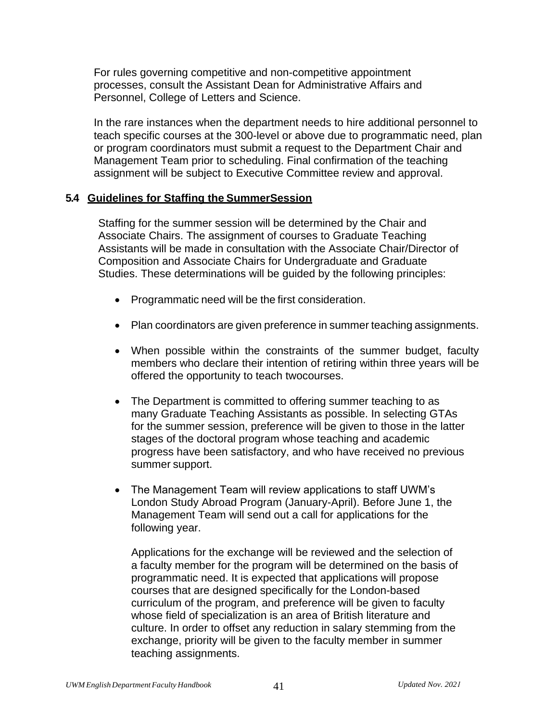For rules governing competitive and non-competitive appointment processes, consult the Assistant Dean for Administrative Affairs and Personnel, College of Letters and Science.

In the rare instances when the department needs to hire additional personnel to teach specific courses at the 300-level or above due to programmatic need, plan or program coordinators must submit a request to the Department Chair and Management Team prior to scheduling. Final confirmation of the teaching assignment will be subject to Executive Committee review and approval.

#### **5.4 Guidelines for Staffing the SummerSession**

Staffing for the summer session will be determined by the Chair and Associate Chairs. The assignment of courses to Graduate Teaching Assistants will be made in consultation with the Associate Chair/Director of Composition and Associate Chairs for Undergraduate and Graduate Studies. These determinations will be guided by the following principles:

- Programmatic need will be the first consideration.
- Plan coordinators are given preference in summer teaching assignments.
- When possible within the constraints of the summer budget, faculty members who declare their intention of retiring within three years will be offered the opportunity to teach twocourses.
- The Department is committed to offering summer teaching to as many Graduate Teaching Assistants as possible. In selecting GTAs for the summer session, preference will be given to those in the latter stages of the doctoral program whose teaching and academic progress have been satisfactory, and who have received no previous summer support.
- The Management Team will review applications to staff UWM's London Study Abroad Program (January-April). Before June 1, the Management Team will send out a call for applications for the following year.

Applications for the exchange will be reviewed and the selection of a faculty member for the program will be determined on the basis of programmatic need. It is expected that applications will propose courses that are designed specifically for the London-based curriculum of the program, and preference will be given to faculty whose field of specialization is an area of British literature and culture. In order to offset any reduction in salary stemming from the exchange, priority will be given to the faculty member in summer teaching assignments.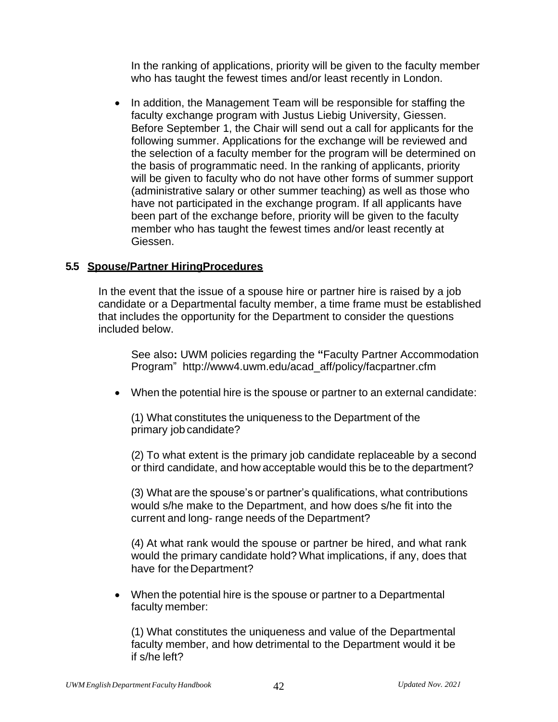In the ranking of applications, priority will be given to the faculty member who has taught the fewest times and/or least recently in London.

• In addition, the Management Team will be responsible for staffing the faculty exchange program with Justus Liebig University, Giessen. Before September 1, the Chair will send out a call for applicants for the following summer. Applications for the exchange will be reviewed and the selection of a faculty member for the program will be determined on the basis of programmatic need. In the ranking of applicants, priority will be given to faculty who do not have other forms of summer support (administrative salary or other summer teaching) as well as those who have not participated in the exchange program. If all applicants have been part of the exchange before, priority will be given to the faculty member who has taught the fewest times and/or least recently at Giessen.

### **5.5 Spouse/Partner HiringProcedures**

In the event that the issue of a spouse hire or partner hire is raised by a job candidate or a Departmental faculty member, a time frame must be established that includes the opportunity for the Department to consider the questions included below.

See also**:** UWM policies regarding the **"**Faculty Partner Accommodation Program" [http://www4.uwm.edu/acad\\_aff/policy/facpartner.cfm](http://www4.uwm.edu/acad_aff/policy/facpartner.cfm)

• When the potential hire is the spouse or partner to an external candidate:

(1) What constitutes the uniqueness to the Department of the primary job candidate?

(2) To what extent is the primary job candidate replaceable by a second or third candidate, and how acceptable would this be to the department?

(3) What are the spouse's or partner's qualifications, what contributions would s/he make to the Department, and how does s/he fit into the current and long- range needs of the Department?

(4) At what rank would the spouse or partner be hired, and what rank would the primary candidate hold? What implications, if any, does that have for the Department?

• When the potential hire is the spouse or partner to a Departmental faculty member:

(1) What constitutes the uniqueness and value of the Departmental faculty member, and how detrimental to the Department would it be if s/he left?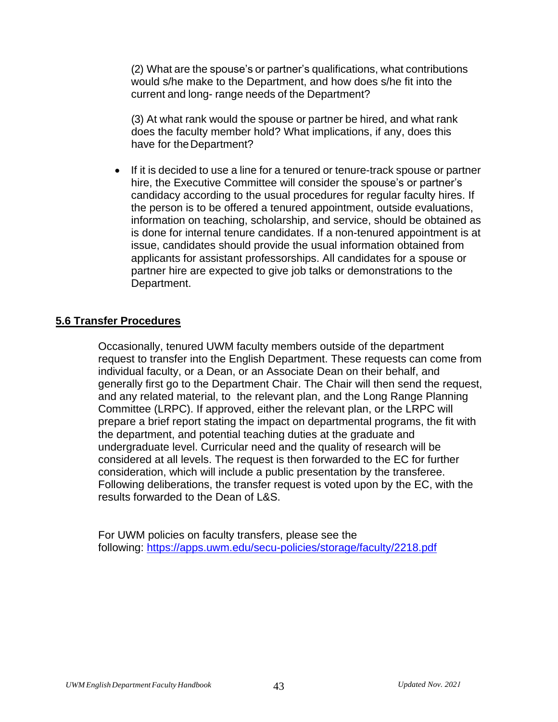(2) What are the spouse's or partner's qualifications, what contributions would s/he make to the Department, and how does s/he fit into the current and long- range needs of the Department?

(3) At what rank would the spouse or partner be hired, and what rank does the faculty member hold? What implications, if any, does this have for the Department?

• If it is decided to use a line for a tenured or tenure-track spouse or partner hire, the Executive Committee will consider the spouse's or partner's candidacy according to the usual procedures for regular faculty hires. If the person is to be offered a tenured appointment, outside evaluations, information on teaching, scholarship, and service, should be obtained as is done for internal tenure candidates. If a non-tenured appointment is at issue, candidates should provide the usual information obtained from applicants for assistant professorships. All candidates for a spouse or partner hire are expected to give job talks or demonstrations to the Department.

#### **5.6 Transfer Procedures**

Occasionally, tenured UWM faculty members outside of the department request to transfer into the English Department. These requests can come from individual faculty, or a Dean, or an Associate Dean on their behalf, and generally first go to the Department Chair. The Chair will then send the request, and any related material, to the relevant plan, and the Long Range Planning Committee (LRPC). If approved, either the relevant plan, or the LRPC will prepare a brief report stating the impact on departmental programs, the fit with the department, and potential teaching duties at the graduate and undergraduate level. Curricular need and the quality of research will be considered at all levels. The request is then forwarded to the EC for further consideration, which will include a public presentation by the transferee. Following deliberations, the transfer request is voted upon by the EC, with the results forwarded to the Dean of L&S.

For UWM policies on faculty transfers, please see the following: <https://apps.uwm.edu/secu-policies/storage/faculty/2218.pdf>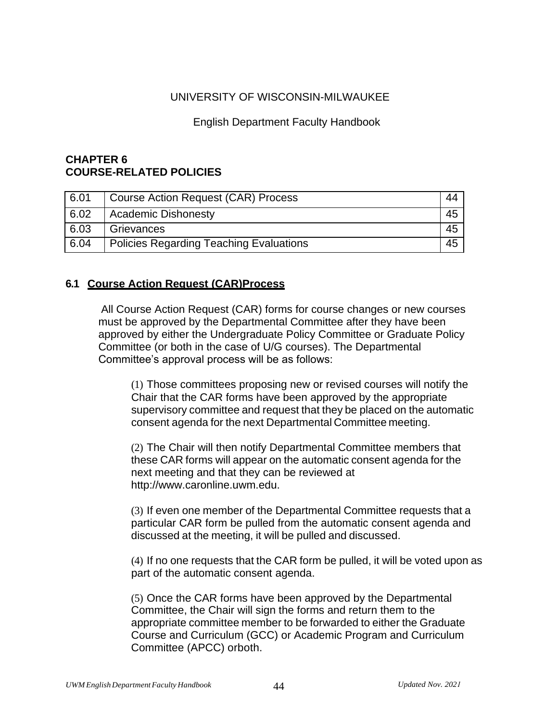#### UNIVERSITY OF WISCONSIN-MILWAUKEE

#### English Department Faculty Handbook

#### **CHAPTER 6 COURSE-RELATED POLICIES**

| 6.01 | Course Action Request (CAR) Process     | 44 |
|------|-----------------------------------------|----|
| 6.02 | Academic Dishonesty                     | 45 |
| 6.03 | Grievances                              | 45 |
| 6.04 | Policies Regarding Teaching Evaluations | 45 |

### **6.1 Course Action Request (CAR)Process**

All Course Action Request (CAR) forms for course changes or new courses must be approved by the Departmental Committee after they have been approved by either the Undergraduate Policy Committee or Graduate Policy Committee (or both in the case of U/G courses). The Departmental Committee's approval process will be as follows:

(1) Those committees proposing new or revised courses will notify the Chair that the CAR forms have been approved by the appropriate supervisory committee and request that they be placed on the automatic consent agenda for the next Departmental Committee meeting.

(2) The Chair will then notify Departmental Committee members that these CAR forms will appear on the automatic consent agenda for the next meeting and that they can be reviewed at [http://www.caronline.uwm.edu.](http://www.caronline.uwm.edu/)

(3) If even one member of the Departmental Committee requests that a particular CAR form be pulled from the automatic consent agenda and discussed at the meeting, it will be pulled and discussed.

(4) If no one requests that the CAR form be pulled, it will be voted upon as part of the automatic consent agenda.

(5) Once the CAR forms have been approved by the Departmental Committee, the Chair will sign the forms and return them to the appropriate committee member to be forwarded to either the Graduate Course and Curriculum (GCC) or Academic Program and Curriculum Committee (APCC) orboth.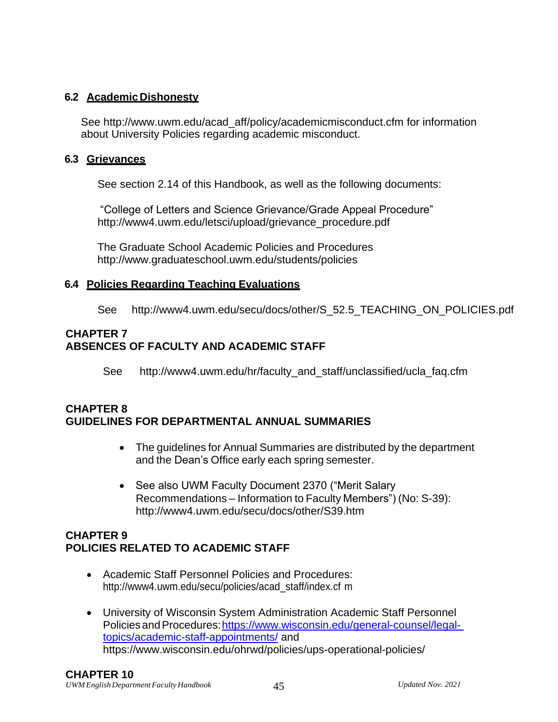### **6.2 AcademicDishonesty**

See [http://www.uwm.edu/acad\\_aff/policy/academicmisconduct.cfm f](http://www.uwm.edu/acad_aff/policy/academicmisconduct.cfm)or information about University Policies regarding academic misconduct.

#### **6.3 Grievances**

See section 2.14 of this Handbook, as well as the following documents:

"College of Letters and Science Grievance/Grade Appeal Procedure" [http://www4.uwm.edu/letsci/upload/grievance\\_procedure.pdf](http://www4.uwm.edu/letsci/upload/grievance_procedure.pdf)

The Graduate School Academic Policies and Procedures <http://www.graduateschool.uwm.edu/students/policies>

### **6.4 Policies Regarding Teaching Evaluations**

See [http://www4.uwm.edu/secu/docs/other/S\\_52.5\\_TEACHING\\_ON\\_POLICIES.pdf](http://www4.uwm.edu/secu/docs/other/S_52.5_TEACHING_ON_POLICIES.pdf)

# **CHAPTER 7 ABSENCES OF FACULTY AND ACADEMIC STAFF**

See http://www4.uwm.edu/hr/faculty and staff/unclassified/ucla\_faq.cfm

### **CHAPTER 8 GUIDELINES FOR DEPARTMENTAL ANNUAL SUMMARIES**

- The guidelines for Annual Summaries are distributed by the department and the Dean's Office early each spring semester.
- See also UWM Faculty Document 2370 ("Merit Salary Recommendations – Information to Faculty Members") (No: S-39): [http://www4.uwm.edu/secu/docs/other/S39.htm](http://www4.uwm.edu/secu/policies/saap/upload/S39.htm)

### **CHAPTER 9 POLICIES RELATED TO ACADEMIC STAFF**

- Academic Staff Personnel Policies and Procedures[:](http://www4.uwm.edu/secu/policies/acad_staff/index.cfm) [http://www4.uwm.edu/secu/policies/acad\\_staff/index.cf](http://www4.uwm.edu/secu/policies/acad_staff/index.cfm) [m](http://www4.uwm.edu/secu/policies/acad_staff/index.cfm)
- University of Wisconsin System Administration Academic Staff Personnel Policies and Procedures: https://www.wisconsin.edu/general-counsel/legal[topics/academic-staff-appointments/](https://www.wisconsin.edu/general-counsel/legal-topics/academic-staff-appointments/) and https:/[/www.wisconsin.edu/ohrwd/policies/ups-operational-policies/](http://www.wisconsin.edu/ohrwd/policies/ups-operational-policies/)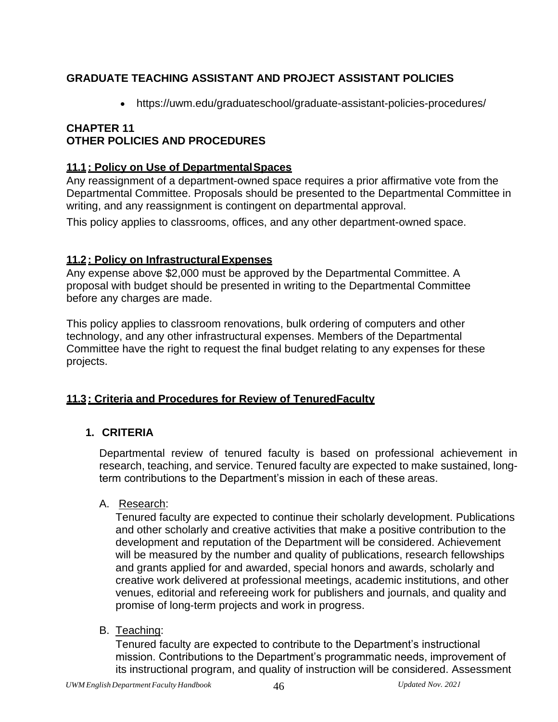# **GRADUATE TEACHING ASSISTANT AND PROJECT ASSISTANT POLICIES**

• https://uwm.edu/graduateschool/graduate-assistant-policies-procedures/

# **CHAPTER 11 OTHER POLICIES AND PROCEDURES**

### **11.1: Policy on Use of DepartmentalSpaces**

Any reassignment of a department-owned space requires a prior affirmative vote from the Departmental Committee. Proposals should be presented to the Departmental Committee in writing, and any reassignment is contingent on departmental approval.

This policy applies to classrooms, offices, and any other department-owned space.

### **11.2: Policy on InfrastructuralExpenses**

Any expense above \$2,000 must be approved by the Departmental Committee. A proposal with budget should be presented in writing to the Departmental Committee before any charges are made.

This policy applies to classroom renovations, bulk ordering of computers and other technology, and any other infrastructural expenses. Members of the Departmental Committee have the right to request the final budget relating to any expenses for these projects.

### **11.3: Criteria and Procedures for Review of TenuredFaculty**

### **1. CRITERIA**

Departmental review of tenured faculty is based on professional achievement in research, teaching, and service. Tenured faculty are expected to make sustained, longterm contributions to the Department's mission in each of these areas.

A. Research:

Tenured faculty are expected to continue their scholarly development. Publications and other scholarly and creative activities that make a positive contribution to the development and reputation of the Department will be considered. Achievement will be measured by the number and quality of publications, research fellowships and grants applied for and awarded, special honors and awards, scholarly and creative work delivered at professional meetings, academic institutions, and other venues, editorial and refereeing work for publishers and journals, and quality and promise of long-term projects and work in progress.

B. Teaching:

Tenured faculty are expected to contribute to the Department's instructional mission. Contributions to the Department's programmatic needs, improvement of its instructional program, and quality of instruction will be considered. Assessment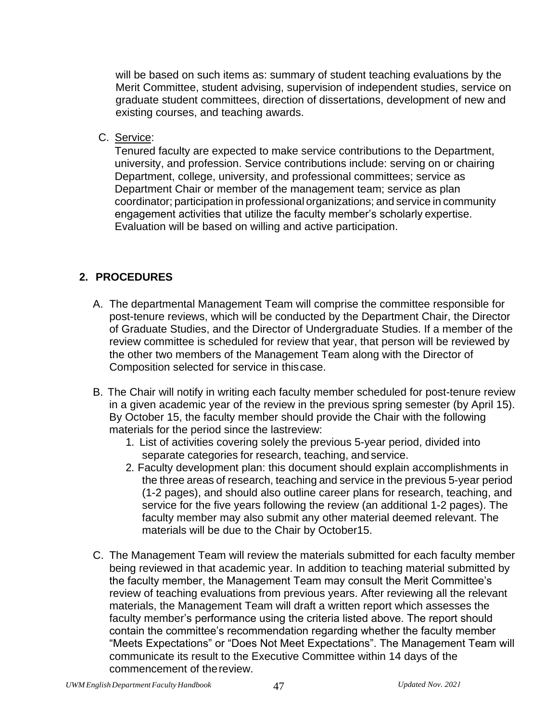will be based on such items as: summary of student teaching evaluations by the Merit Committee, student advising, supervision of independent studies, service on graduate student committees, direction of dissertations, development of new and existing courses, and teaching awards.

C. Service:

Tenured faculty are expected to make service contributions to the Department, university, and profession. Service contributions include: serving on or chairing Department, college, university, and professional committees; service as Department Chair or member of the management team; service as plan coordinator; participation in professional organizations; and service in community engagement activities that utilize the faculty member's scholarly expertise. Evaluation will be based on willing and active participation.

# **2. PROCEDURES**

- A. The departmental Management Team will comprise the committee responsible for post-tenure reviews, which will be conducted by the Department Chair, the Director of Graduate Studies, and the Director of Undergraduate Studies. If a member of the review committee is scheduled for review that year, that person will be reviewed by the other two members of the Management Team along with the Director of Composition selected for service in thiscase.
- B. The Chair will notify in writing each faculty member scheduled for post-tenure review in a given academic year of the review in the previous spring semester (by April 15). By October 15, the faculty member should provide the Chair with the following materials for the period since the lastreview:
	- 1. List of activities covering solely the previous 5-year period, divided into separate categories for research, teaching, and service.
	- 2. Faculty development plan: this document should explain accomplishments in the three areas of research, teaching and service in the previous 5-year period (1-2 pages), and should also outline career plans for research, teaching, and service for the five years following the review (an additional 1-2 pages). The faculty member may also submit any other material deemed relevant. The materials will be due to the Chair by October15.
- C. The Management Team will review the materials submitted for each faculty member being reviewed in that academic year. In addition to teaching material submitted by the faculty member, the Management Team may consult the Merit Committee's review of teaching evaluations from previous years. After reviewing all the relevant materials, the Management Team will draft a written report which assesses the faculty member's performance using the criteria listed above. The report should contain the committee's recommendation regarding whether the faculty member "Meets Expectations" or "Does Not Meet Expectations". The Management Team will communicate its result to the Executive Committee within 14 days of the commencement of thereview.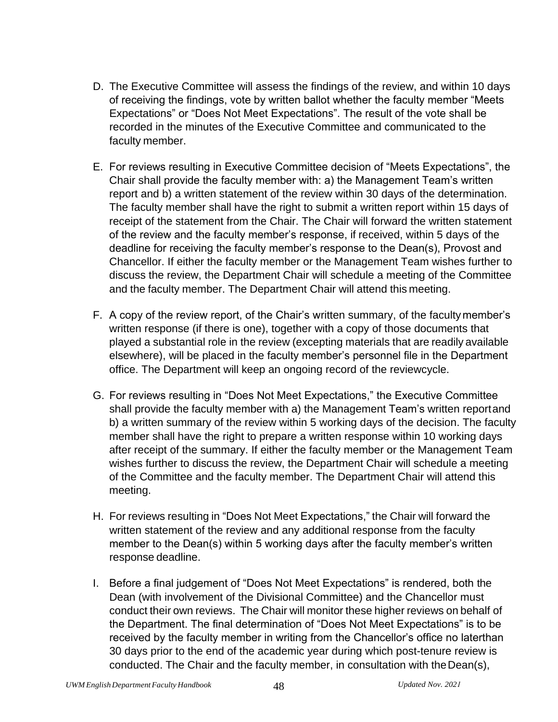- D. The Executive Committee will assess the findings of the review, and within 10 days of receiving the findings, vote by written ballot whether the faculty member "Meets Expectations" or "Does Not Meet Expectations". The result of the vote shall be recorded in the minutes of the Executive Committee and communicated to the faculty member.
- E. For reviews resulting in Executive Committee decision of "Meets Expectations", the Chair shall provide the faculty member with: a) the Management Team's written report and b) a written statement of the review within 30 days of the determination. The faculty member shall have the right to submit a written report within 15 days of receipt of the statement from the Chair. The Chair will forward the written statement of the review and the faculty member's response, if received, within 5 days of the deadline for receiving the faculty member's response to the Dean(s), Provost and Chancellor. If either the faculty member or the Management Team wishes further to discuss the review, the Department Chair will schedule a meeting of the Committee and the faculty member. The Department Chair will attend this meeting.
- F. A copy of the review report, of the Chair's written summary, of the faculty member's written response (if there is one), together with a copy of those documents that played a substantial role in the review (excepting materials that are readily available elsewhere), will be placed in the faculty member's personnel file in the Department office. The Department will keep an ongoing record of the reviewcycle.
- G. For reviews resulting in "Does Not Meet Expectations," the Executive Committee shall provide the faculty member with a) the Management Team's written reportand b) a written summary of the review within 5 working days of the decision. The faculty member shall have the right to prepare a written response within 10 working days after receipt of the summary. If either the faculty member or the Management Team wishes further to discuss the review, the Department Chair will schedule a meeting of the Committee and the faculty member. The Department Chair will attend this meeting.
- H. For reviews resulting in "Does Not Meet Expectations," the Chair will forward the written statement of the review and any additional response from the faculty member to the Dean(s) within 5 working days after the faculty member's written response deadline.
- I. Before a final judgement of "Does Not Meet Expectations" is rendered, both the Dean (with involvement of the Divisional Committee) and the Chancellor must conduct their own reviews. The Chair will monitor these higher reviews on behalf of the Department. The final determination of "Does Not Meet Expectations" is to be received by the faculty member in writing from the Chancellor's office no laterthan 30 days prior to the end of the academic year during which post-tenure review is conducted. The Chair and the faculty member, in consultation with theDean(s),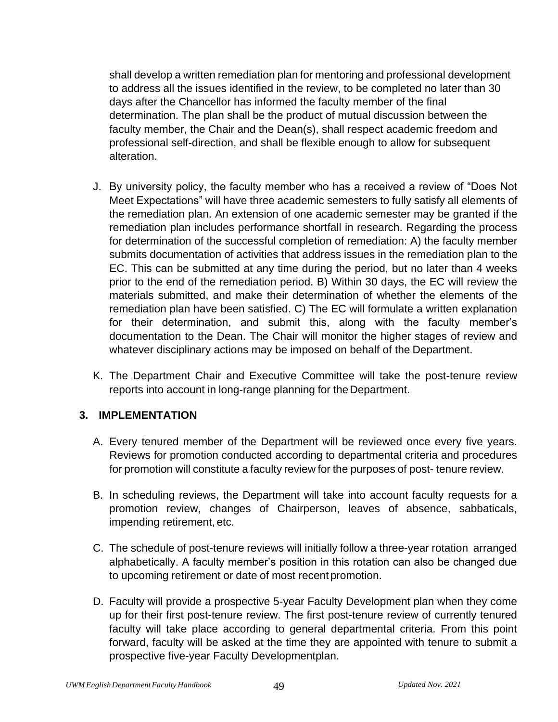shall develop a written remediation plan for mentoring and professional development to address all the issues identified in the review, to be completed no later than 30 days after the Chancellor has informed the faculty member of the final determination. The plan shall be the product of mutual discussion between the faculty member, the Chair and the Dean(s), shall respect academic freedom and professional self-direction, and shall be flexible enough to allow for subsequent alteration.

- J. By university policy, the faculty member who has a received a review of "Does Not Meet Expectations" will have three academic semesters to fully satisfy all elements of the remediation plan. An extension of one academic semester may be granted if the remediation plan includes performance shortfall in research. Regarding the process for determination of the successful completion of remediation: A) the faculty member submits documentation of activities that address issues in the remediation plan to the EC. This can be submitted at any time during the period, but no later than 4 weeks prior to the end of the remediation period. B) Within 30 days, the EC will review the materials submitted, and make their determination of whether the elements of the remediation plan have been satisfied. C) The EC will formulate a written explanation for their determination, and submit this, along with the faculty member's documentation to the Dean. The Chair will monitor the higher stages of review and whatever disciplinary actions may be imposed on behalf of the Department.
- K. The Department Chair and Executive Committee will take the post-tenure review reports into account in long-range planning for the Department.

#### **3. IMPLEMENTATION**

- A. Every tenured member of the Department will be reviewed once every five years. Reviews for promotion conducted according to departmental criteria and procedures for promotion will constitute a faculty review for the purposes of post- tenure review.
- B. In scheduling reviews, the Department will take into account faculty requests for a promotion review, changes of Chairperson, leaves of absence, sabbaticals, impending retirement, etc.
- C. The schedule of post-tenure reviews will initially follow a three-year rotation arranged alphabetically. A faculty member's position in this rotation can also be changed due to upcoming retirement or date of most recentpromotion.
- D. Faculty will provide a prospective 5-year Faculty Development plan when they come up for their first post-tenure review. The first post-tenure review of currently tenured faculty will take place according to general departmental criteria. From this point forward, faculty will be asked at the time they are appointed with tenure to submit a prospective five-year Faculty Developmentplan.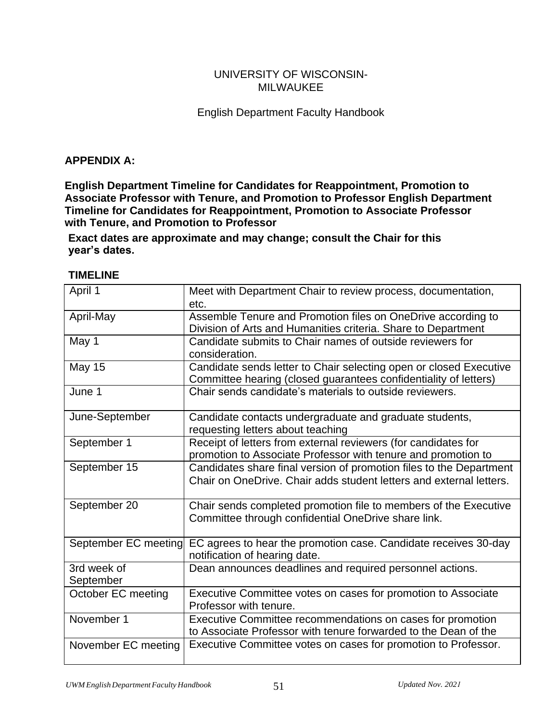#### UNIVERSITY OF WISCONSIN-MILWAUKEE

### English Department Faculty Handbook

#### **APPENDIX A:**

**English Department Timeline for Candidates for Reappointment, Promotion to Associate Professor with Tenure, and Promotion to Professor English Department Timeline for Candidates for Reappointment, Promotion to Associate Professor with Tenure, and Promotion to Professor**

**Exact dates are approximate and may change; consult the Chair for this year's dates.**

#### **TIMELINE**

| April 1                  | Meet with Department Chair to review process, documentation,<br>etc.                                                                       |
|--------------------------|--------------------------------------------------------------------------------------------------------------------------------------------|
| April-May                | Assemble Tenure and Promotion files on OneDrive according to<br>Division of Arts and Humanities criteria. Share to Department              |
| May 1                    | Candidate submits to Chair names of outside reviewers for<br>consideration.                                                                |
| <b>May 15</b>            | Candidate sends letter to Chair selecting open or closed Executive<br>Committee hearing (closed guarantees confidentiality of letters)     |
| June 1                   | Chair sends candidate's materials to outside reviewers.                                                                                    |
| June-September           | Candidate contacts undergraduate and graduate students,<br>requesting letters about teaching                                               |
| September 1              | Receipt of letters from external reviewers (for candidates for<br>promotion to Associate Professor with tenure and promotion to            |
| September 15             | Candidates share final version of promotion files to the Department<br>Chair on OneDrive. Chair adds student letters and external letters. |
| September 20             | Chair sends completed promotion file to members of the Executive<br>Committee through confidential OneDrive share link.                    |
| September EC meeting     | EC agrees to hear the promotion case. Candidate receives 30-day<br>notification of hearing date.                                           |
| 3rd week of<br>September | Dean announces deadlines and required personnel actions.                                                                                   |
| October EC meeting       | Executive Committee votes on cases for promotion to Associate<br>Professor with tenure.                                                    |
| November 1               | Executive Committee recommendations on cases for promotion<br>to Associate Professor with tenure forwarded to the Dean of the              |
| November EC meeting      | Executive Committee votes on cases for promotion to Professor.                                                                             |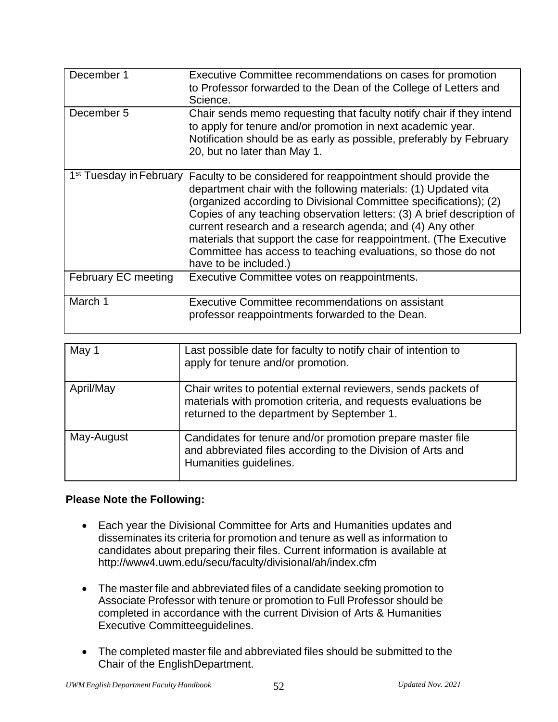| December 1                          | Executive Committee recommendations on cases for promotion<br>to Professor forwarded to the Dean of the College of Letters and<br>Science.                                                                                                                                                                                                                                                                                                                                                                  |
|-------------------------------------|-------------------------------------------------------------------------------------------------------------------------------------------------------------------------------------------------------------------------------------------------------------------------------------------------------------------------------------------------------------------------------------------------------------------------------------------------------------------------------------------------------------|
| December 5                          | Chair sends memo requesting that faculty notify chair if they intend<br>to apply for tenure and/or promotion in next academic year.<br>Notification should be as early as possible, preferably by February<br>20, but no later than May 1.                                                                                                                                                                                                                                                                  |
| 1 <sup>st</sup> Tuesday in February | Faculty to be considered for reappointment should provide the<br>department chair with the following materials: (1) Updated vita<br>(organized according to Divisional Committee specifications); (2)<br>Copies of any teaching observation letters: (3) A brief description of<br>current research and a research agenda; and (4) Any other<br>materials that support the case for reappointment. (The Executive<br>Committee has access to teaching evaluations, so those do not<br>have to be included.) |
| <b>February EC meeting</b>          | Executive Committee votes on reappointments.                                                                                                                                                                                                                                                                                                                                                                                                                                                                |
| March 1                             | Executive Committee recommendations on assistant<br>professor reappointments forwarded to the Dean.                                                                                                                                                                                                                                                                                                                                                                                                         |

| May 1      | Last possible date for faculty to notify chair of intention to<br>apply for tenure and/or promotion.                                                                           |
|------------|--------------------------------------------------------------------------------------------------------------------------------------------------------------------------------|
| April/May  | Chair writes to potential external reviewers, sends packets of<br>materials with promotion criteria, and requests evaluations be<br>returned to the department by September 1. |
| May-August | Candidates for tenure and/or promotion prepare master file<br>and abbreviated files according to the Division of Arts and<br>Humanities guidelines.                            |

#### **Please Note the Following:**

- Each year the Divisional Committee for Arts and Humanities updates and disseminates its criteria for promotion and tenure as well as information to candidates about preparing their files. Current information is available at <http://www4.uwm.edu/secu/faculty/divisional/ah/index.cfm>
- The master file and abbreviated files of a candidate seeking promotion to Associate Professor with tenure or promotion to Full Professor should be completed in accordance with the current Division of Arts & Humanities Executive Committeeguidelines.
- The completed master file and abbreviated files should be submitted to the Chair of the EnglishDepartment.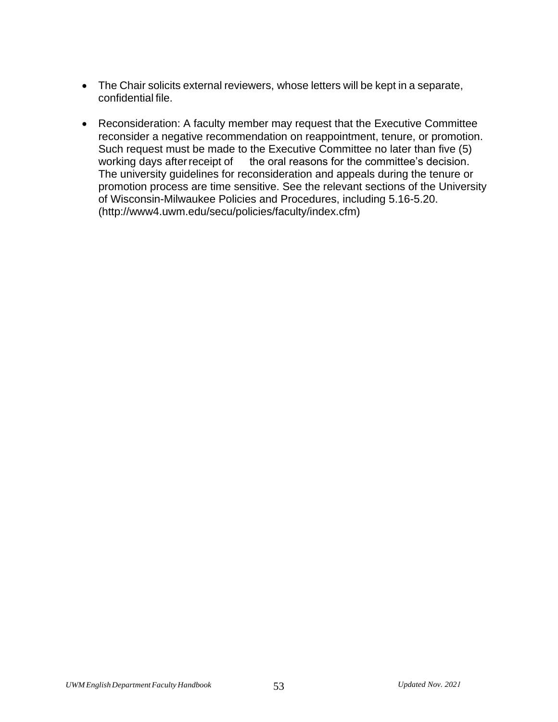- The Chair solicits external reviewers, whose letters will be kept in a separate, confidential file.
- Reconsideration: A faculty member may request that the Executive Committee reconsider a negative recommendation on reappointment, tenure, or promotion. Such request must be made to the Executive Committee no later than five (5) working days after receipt of the oral reasons for the committee's decision. The university guidelines for reconsideration and appeals during the tenure or promotion process are time sensitive. See the relevant sections of the University of Wisconsin-Milwaukee Policies and Procedures, including 5.16-5.20. [\(http://www4.uwm.edu/secu/policies/faculty/index.cfm\)](http://www4.uwm.edu/secu/policies/faculty/index.cfm))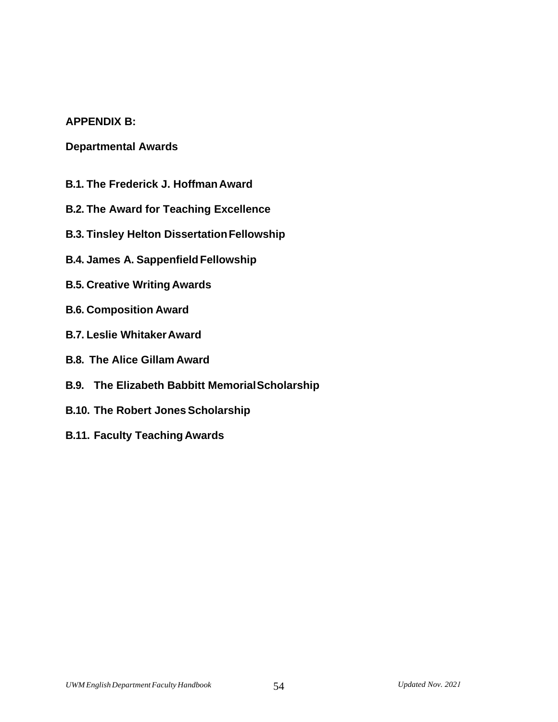#### **APPENDIX B:**

### **Departmental Awards**

- **B.1. The Frederick J. HoffmanAward**
- **B.2. The Award for Teaching Excellence**
- **B.3. Tinsley Helton DissertationFellowship**
- **B.4. James A. SappenfieldFellowship**
- **B.5. Creative Writing Awards**
- **B.6. Composition Award**
- **B.7. Leslie WhitakerAward**
- **B.8. The Alice Gillam Award**
- **B.9. The Elizabeth Babbitt MemorialScholarship**
- **B.10. The Robert Jones Scholarship**
- **B.11. Faculty Teaching Awards**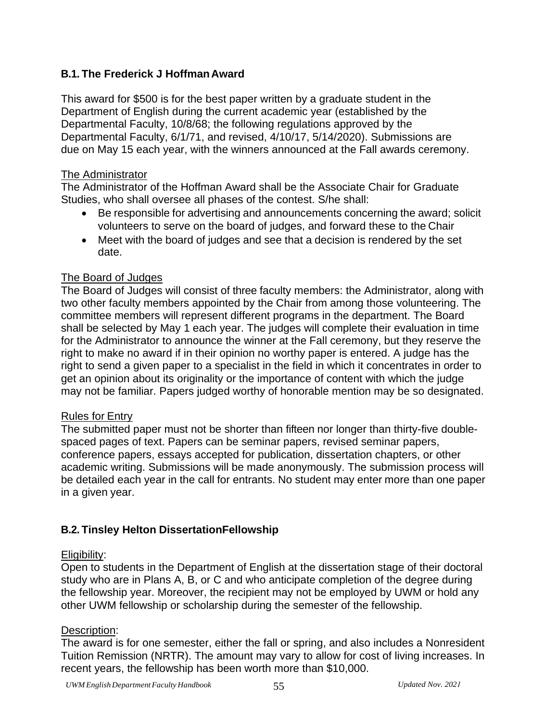# **B.1. The Frederick J HoffmanAward**

This award for \$500 is for the best paper written by a graduate student in the Department of English during the current academic year (established by the Departmental Faculty, 10/8/68; the following regulations approved by the Departmental Faculty, 6/1/71, and revised, 4/10/17, 5/14/2020). Submissions are due on May 15 each year, with the winners announced at the Fall awards ceremony.

#### The Administrator

The Administrator of the Hoffman Award shall be the Associate Chair for Graduate Studies, who shall oversee all phases of the contest. S/he shall:

- Be responsible for advertising and announcements concerning the award; solicit volunteers to serve on the board of judges, and forward these to the Chair
- Meet with the board of judges and see that a decision is rendered by the set date.

### The Board of Judges

The Board of Judges will consist of three faculty members: the Administrator, along with two other faculty members appointed by the Chair from among those volunteering. The committee members will represent different programs in the department. The Board shall be selected by May 1 each year. The judges will complete their evaluation in time for the Administrator to announce the winner at the Fall ceremony, but they reserve the right to make no award if in their opinion no worthy paper is entered. A judge has the right to send a given paper to a specialist in the field in which it concentrates in order to get an opinion about its originality or the importance of content with which the judge may not be familiar. Papers judged worthy of honorable mention may be so designated.

#### Rules for Entry

The submitted paper must not be shorter than fifteen nor longer than thirty-five doublespaced pages of text. Papers can be seminar papers, revised seminar papers, conference papers, essays accepted for publication, dissertation chapters, or other academic writing. Submissions will be made anonymously. The submission process will be detailed each year in the call for entrants. No student may enter more than one paper in a given year.

### **B.2. Tinsley Helton DissertationFellowship**

#### Eligibility:

Open to students in the Department of English at the dissertation stage of their doctoral study who are in Plans A, B, or C and who anticipate completion of the degree during the fellowship year. Moreover, the recipient may not be employed by UWM or hold any other UWM fellowship or scholarship during the semester of the fellowship.

### Description:

The award is for one semester, either the fall or spring, and also includes a Nonresident Tuition Remission (NRTR). The amount may vary to allow for cost of living increases. In recent years, the fellowship has been worth more than \$10,000.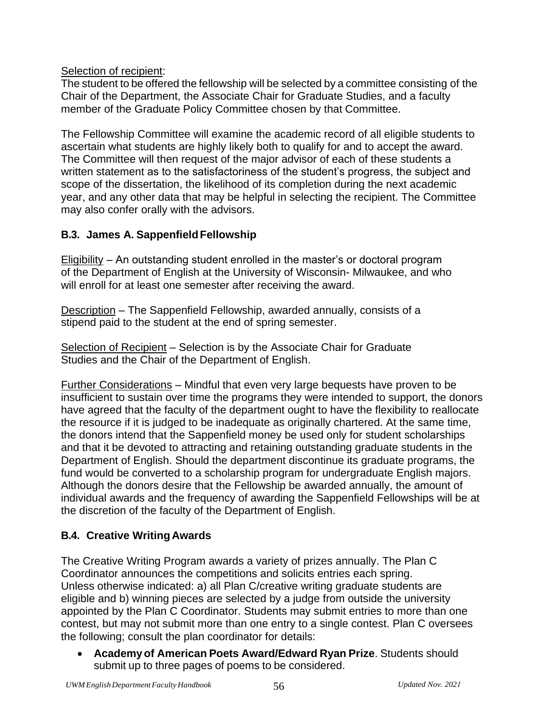Selection of recipient:

The student to be offered the fellowship will be selected by a committee consisting of the Chair of the Department, the Associate Chair for Graduate Studies, and a faculty member of the Graduate Policy Committee chosen by that Committee.

The Fellowship Committee will examine the academic record of all eligible students to ascertain what students are highly likely both to qualify for and to accept the award. The Committee will then request of the major advisor of each of these students a written statement as to the satisfactoriness of the student's progress, the subject and scope of the dissertation, the likelihood of its completion during the next academic year, and any other data that may be helpful in selecting the recipient. The Committee may also confer orally with the advisors.

# **B.3. James A. SappenfieldFellowship**

Eligibility – An outstanding student enrolled in the master's or doctoral program of the Department of English at the University of Wisconsin- Milwaukee, and who will enroll for at least one semester after receiving the award.

Description – The Sappenfield Fellowship, awarded annually, consists of a stipend paid to the student at the end of spring semester.

Selection of Recipient – Selection is by the Associate Chair for Graduate Studies and the Chair of the Department of English.

Further Considerations – Mindful that even very large bequests have proven to be insufficient to sustain over time the programs they were intended to support, the donors have agreed that the faculty of the department ought to have the flexibility to reallocate the resource if it is judged to be inadequate as originally chartered. At the same time, the donors intend that the Sappenfield money be used only for student scholarships and that it be devoted to attracting and retaining outstanding graduate students in the Department of English. Should the department discontinue its graduate programs, the fund would be converted to a scholarship program for undergraduate English majors. Although the donors desire that the Fellowship be awarded annually, the amount of individual awards and the frequency of awarding the Sappenfield Fellowships will be at the discretion of the faculty of the Department of English.

# **B.4. Creative Writing Awards**

The Creative Writing Program awards a variety of prizes annually. The Plan C Coordinator announces the competitions and solicits entries each spring. Unless otherwise indicated: a) all Plan C/creative writing graduate students are eligible and b) winning pieces are selected by a judge from outside the university appointed by the Plan C Coordinator. Students may submit entries to more than one contest, but may not submit more than one entry to a single contest. Plan C oversees the following; consult the plan coordinator for details:

• **Academyof American Poets Award/Edward Ryan Prize**. Students should submit up to three pages of poems to be considered.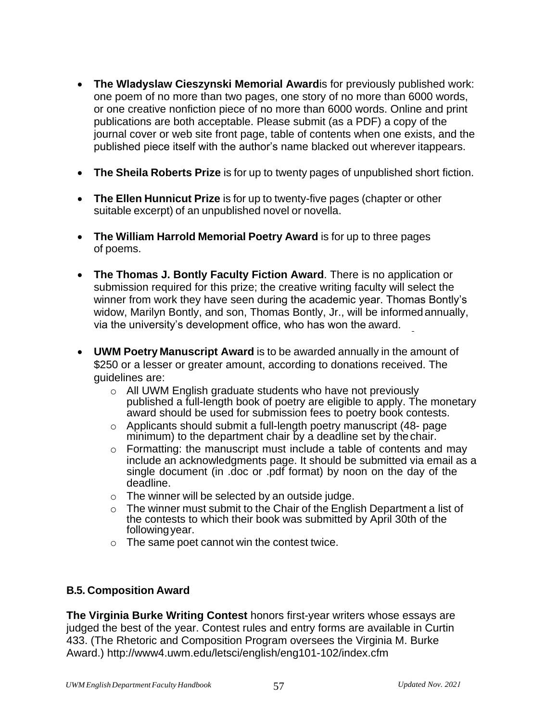- **The Wladyslaw Cieszynski Memorial Award**is for previously published work: one poem of no more than two pages, one story of no more than 6000 words, or one creative nonfiction piece of no more than 6000 words. Online and print publications are both acceptable. Please submit (as a PDF) a copy of the journal cover or web site front page, table of contents when one exists, and the published piece itself with the author's name blacked out wherever itappears.
- **The Sheila Roberts Prize** is for up to twenty pages of unpublished short fiction.
- **The Ellen Hunnicut Prize** is for up to twenty-five pages (chapter or other suitable excerpt) of an unpublished novel or novella.
- **The William Harrold Memorial Poetry Award** is for up to three pages of poems.
- **The Thomas J. Bontly Faculty Fiction Award**. There is no application or submission required for this prize; the creative writing faculty will select the winner from work they have seen during the academic year. Thomas Bontly's widow, Marilyn Bontly, and son, Thomas Bontly, Jr., will be informed annually, via the university's development office, who has won the award.
- **UWM Poetry Manuscript Award** is to be awarded annually in the amount of \$250 or a lesser or greater amount, according to donations received. The guidelines are:
	- o All UWM English graduate students who have not previously published a full-length book of poetry are eligible to apply. The monetary award should be used for submission fees to poetry book contests.
	- o Applicants should submit a full-length poetry manuscript (48- page minimum) to the department chair by a deadline set by the chair.
	- o Formatting: the manuscript must include a table of contents and may include an acknowledgments page. It should be submitted via email as a single document (in .doc or .pdf format) by noon on the day of the deadline.
	- $\circ$  The winner will be selected by an outside judge.
	- o The winner must submit to the Chair of the English Department a list of the contests to which their book was submitted by April 30th of the following year.
	- o The same poet cannot win the contest twice.

### **B.5. Composition Award**

**The Virginia Burke Writing Contest** honors first-year writers whose essays are judged the best of the year. Contest rules and entry forms are available in Curtin 433. (The Rhetoric and Composition Program oversees the Virginia M. Burke Award.)<http://www4.uwm.edu/letsci/english/eng101-102/index.cfm>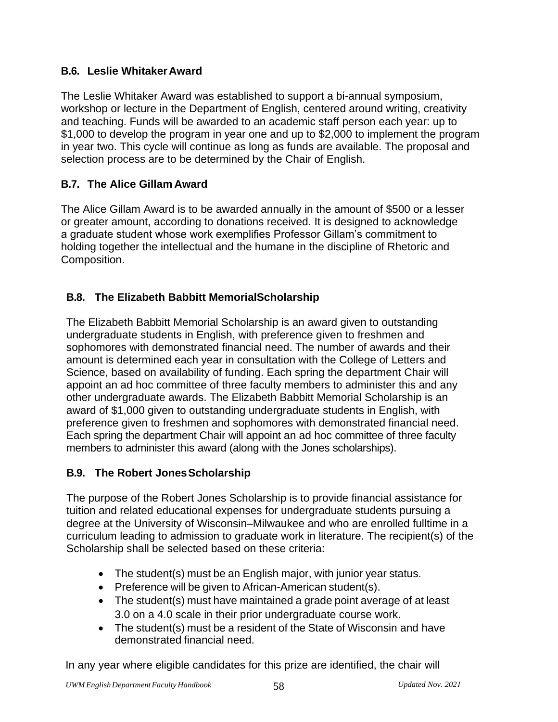# **B.6. Leslie WhitakerAward**

The Leslie Whitaker Award was established to support a bi-annual symposium, workshop or lecture in the Department of English, centered around writing, creativity and teaching. Funds will be awarded to an academic staff person each year: up to \$1,000 to develop the program in year one and up to \$2,000 to implement the program in year two. This cycle will continue as long as funds are available. The proposal and selection process are to be determined by the Chair of English.

# **B.7. The Alice Gillam Award**

The Alice Gillam Award is to be awarded annually in the amount of \$500 or a lesser or greater amount, according to donations received. It is designed to acknowledge a graduate student whose work exemplifies Professor Gillam's commitment to holding together the intellectual and the humane in the discipline of Rhetoric and Composition.

# **B.8. The Elizabeth Babbitt MemorialScholarship**

The Elizabeth Babbitt Memorial Scholarship is an award given to outstanding undergraduate students in English, with preference given to freshmen and sophomores with demonstrated financial need. The number of awards and their amount is determined each year in consultation with the College of Letters and Science, based on availability of funding. Each spring the department Chair will appoint an ad hoc committee of three faculty members to administer this and any other undergraduate awards. The Elizabeth Babbitt Memorial Scholarship is an award of \$1,000 given to outstanding undergraduate students in English, with preference given to freshmen and sophomores with demonstrated financial need. Each spring the department Chair will appoint an ad hoc committee of three faculty members to administer this award (along with the Jones scholarships).

### **B.9. The Robert JonesScholarship**

The purpose of the Robert Jones Scholarship is to provide financial assistance for tuition and related educational expenses for undergraduate students pursuing a degree at the University of Wisconsin–Milwaukee and who are enrolled fulltime in a curriculum leading to admission to graduate work in literature. The recipient(s) of the Scholarship shall be selected based on these criteria:

- The student(s) must be an English major, with junior year status.
- Preference will be given to African-American student(s).
- The student(s) must have maintained a grade point average of at least 3.0 on a 4.0 scale in their prior undergraduate course work.
- The student(s) must be a resident of the State of Wisconsin and have demonstrated financial need.

In any year where eligible candidates for this prize are identified, the chair will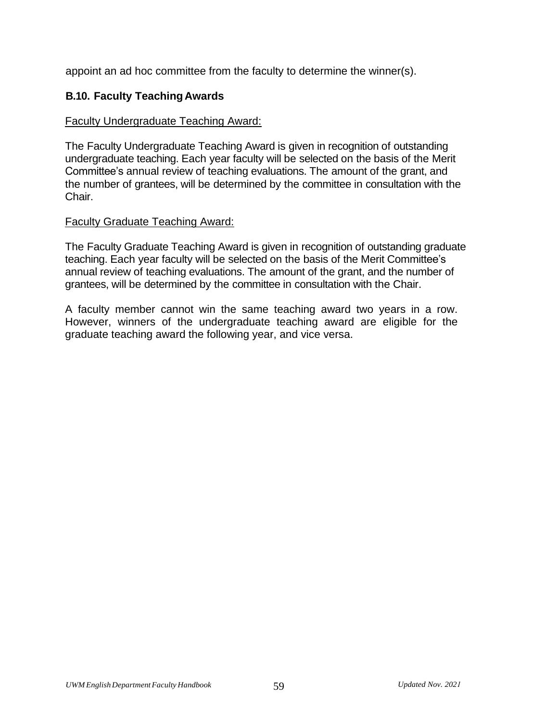appoint an ad hoc committee from the faculty to determine the winner(s).

### **B.10. Faculty TeachingAwards**

#### Faculty Undergraduate Teaching Award:

The Faculty Undergraduate Teaching Award is given in recognition of outstanding undergraduate teaching. Each year faculty will be selected on the basis of the Merit Committee's annual review of teaching evaluations. The amount of the grant, and the number of grantees, will be determined by the committee in consultation with the Chair.

#### Faculty Graduate Teaching Award:

The Faculty Graduate Teaching Award is given in recognition of outstanding graduate teaching. Each year faculty will be selected on the basis of the Merit Committee's annual review of teaching evaluations. The amount of the grant, and the number of grantees, will be determined by the committee in consultation with the Chair.

A faculty member cannot win the same teaching award two years in a row. However, winners of the undergraduate teaching award are eligible for the graduate teaching award the following year, and vice versa.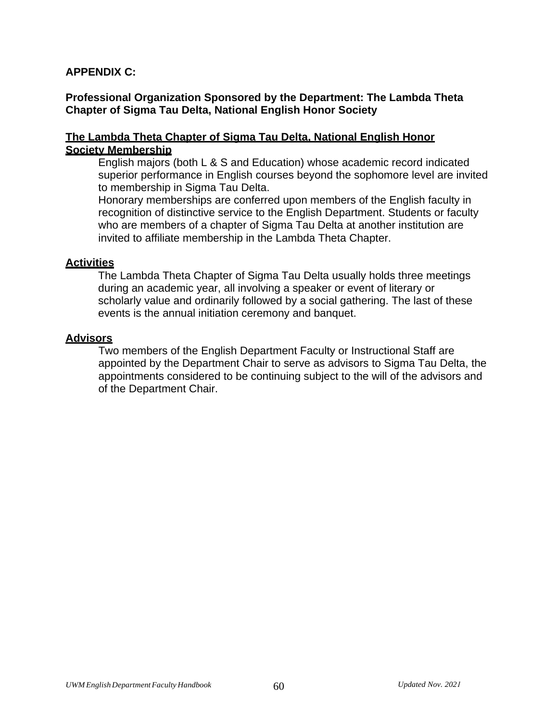### **APPENDIX C:**

### **Professional Organization Sponsored by the Department: The Lambda Theta Chapter of Sigma Tau Delta, National English Honor Society**

#### **The Lambda Theta Chapter of Sigma Tau Delta, National English Honor Society Membership**

English majors (both L & S and Education) whose academic record indicated superior performance in English courses beyond the sophomore level are invited to membership in Sigma Tau Delta.

Honorary memberships are conferred upon members of the English faculty in recognition of distinctive service to the English Department. Students or faculty who are members of a chapter of Sigma Tau Delta at another institution are invited to affiliate membership in the Lambda Theta Chapter.

#### **Activities**

The Lambda Theta Chapter of Sigma Tau Delta usually holds three meetings during an academic year, all involving a speaker or event of literary or scholarly value and ordinarily followed by a social gathering. The last of these events is the annual initiation ceremony and banquet.

#### **Advisors**

Two members of the English Department Faculty or Instructional Staff are appointed by the Department Chair to serve as advisors to Sigma Tau Delta, the appointments considered to be continuing subject to the will of the advisors and of the Department Chair.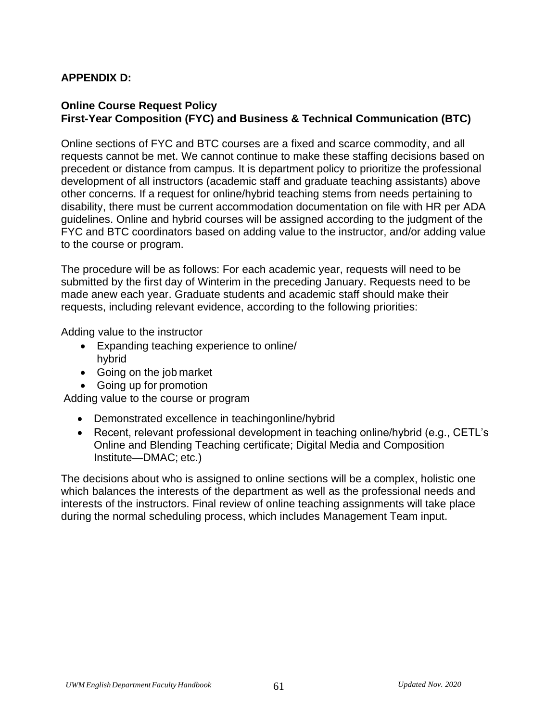### **APPENDIX D:**

### **Online Course Request Policy First-Year Composition (FYC) and Business & Technical Communication (BTC)**

Online sections of FYC and BTC courses are a fixed and scarce commodity, and all requests cannot be met. We cannot continue to make these staffing decisions based on precedent or distance from campus. It is department policy to prioritize the professional development of all instructors (academic staff and graduate teaching assistants) above other concerns. If a request for online/hybrid teaching stems from needs pertaining to disability, there must be current accommodation documentation on file with HR per ADA guidelines. Online and hybrid courses will be assigned according to the judgment of the FYC and BTC coordinators based on adding value to the instructor, and/or adding value to the course or program.

The procedure will be as follows: For each academic year, requests will need to be submitted by the first day of Winterim in the preceding January. Requests need to be made anew each year. Graduate students and academic staff should make their requests, including relevant evidence, according to the following priorities:

Adding value to the instructor

- Expanding teaching experience to online/ hybrid
- Going on the job market
- Going up for promotion

Adding value to the course or program

- Demonstrated excellence in teachingonline/hybrid
- Recent, relevant professional development in teaching online/hybrid (e.g., CETL's Online and Blending Teaching certificate; Digital Media and Composition Institute—DMAC; etc.)

The decisions about who is assigned to online sections will be a complex, holistic one which balances the interests of the department as well as the professional needs and interests of the instructors. Final review of online teaching assignments will take place during the normal scheduling process, which includes Management Team input.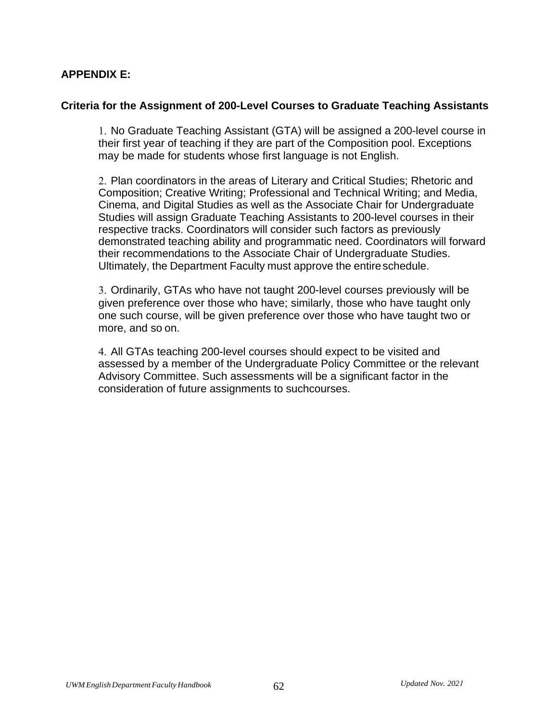### **APPENDIX E:**

#### **Criteria for the Assignment of 200-Level Courses to Graduate Teaching Assistants**

1. No Graduate Teaching Assistant (GTA) will be assigned a 200-level course in their first year of teaching if they are part of the Composition pool. Exceptions may be made for students whose first language is not English.

2. Plan coordinators in the areas of Literary and Critical Studies; Rhetoric and Composition; Creative Writing; Professional and Technical Writing; and Media, Cinema, and Digital Studies as well as the Associate Chair for Undergraduate Studies will assign Graduate Teaching Assistants to 200-level courses in their respective tracks. Coordinators will consider such factors as previously demonstrated teaching ability and programmatic need. Coordinators will forward their recommendations to the Associate Chair of Undergraduate Studies. Ultimately, the Department Faculty must approve the entire schedule.

3. Ordinarily, GTAs who have not taught 200-level courses previously will be given preference over those who have; similarly, those who have taught only one such course, will be given preference over those who have taught two or more, and so on.

4. All GTAs teaching 200-level courses should expect to be visited and assessed by a member of the Undergraduate Policy Committee or the relevant Advisory Committee. Such assessments will be a significant factor in the consideration of future assignments to suchcourses.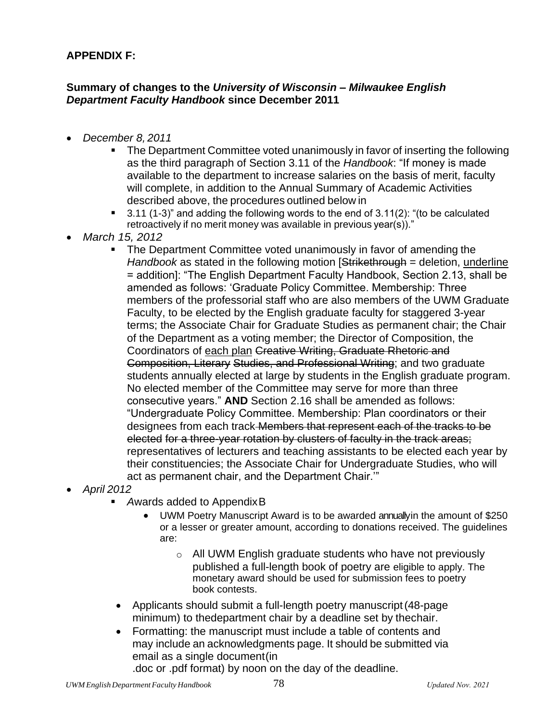# **APPENDIX F:**

### **Summary of changes to the** *University of Wisconsin – Milwaukee English Department Faculty Handbook* **since December 2011**

- *December 8, 2011*
	- The Department Committee voted unanimously in favor of inserting the following as the third paragraph of Section 3.11 of the *Handbook*: "If money is made available to the department to increase salaries on the basis of merit, faculty will complete, in addition to the Annual Summary of Academic Activities described above, the procedures outlined below in
	- $3.11$  (1-3)" and adding the following words to the end of  $3.11(2)$ : "(to be calculated retroactively if no merit money was available in previous year(s))."
- *March 15, 2012*
	- The Department Committee voted unanimously in favor of amending the *Handbook* as stated in the following motion [Strikethrough = deletion, underline = addition]: "The English Department Faculty Handbook, Section 2.13, shall be amended as follows: 'Graduate Policy Committee. Membership: Three members of the professorial staff who are also members of the UWM Graduate Faculty, to be elected by the English graduate faculty for staggered 3-year terms; the Associate Chair for Graduate Studies as permanent chair; the Chair of the Department as a voting member; the Director of Composition, the Coordinators of each plan Creative Writing, Graduate Rhetoric and Composition, Literary Studies, and Professional Writing; and two graduate students annually elected at large by students in the English graduate program. No elected member of the Committee may serve for more than three consecutive years." **AND** Section 2.16 shall be amended as follows: "Undergraduate Policy Committee. Membership: Plan coordinators or their designees from each track Members that represent each of the tracks to be elected for a three-year rotation by clusters of faculty in the track areas; representatives of lecturers and teaching assistants to be elected each year by their constituencies; the Associate Chair for Undergraduate Studies, who will act as permanent chair, and the Department Chair.'"
- *April 2012*
	- Awards added to Appendix B
		- UWM Poetry Manuscript Award is to be awarded annuallyin the amount of \$250 or a lesser or greater amount, according to donations received. The guidelines are:
			- $\circ$  All UWM English graduate students who have not previously published a full-length book of poetry are eligible to apply. The monetary award should be used for submission fees to poetry book contests.
	- Applicants should submit a full-length poetry manuscript(48-page minimum) to thedepartment chair by a deadline set by thechair.
	- Formatting: the manuscript must include a table of contents and may include an acknowledgments page. It should be submitted via email as a single document(in

.doc or .pdf format) by noon on the day of the deadline.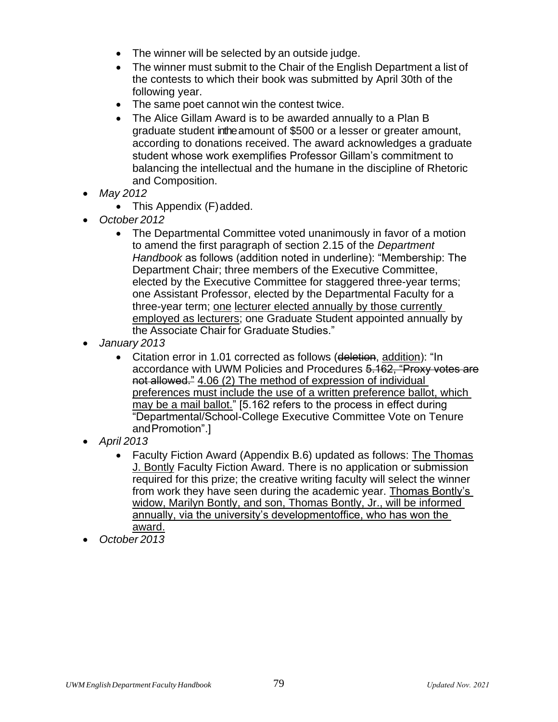- The winner will be selected by an outside judge.
- The winner must submit to the Chair of the English Department a list of the contests to which their book was submitted by April 30th of the following year.
- The same poet cannot win the contest twice.
- The Alice Gillam Award is to be awarded annually to a Plan B graduate student inthe amount of \$500 or a lesser or greater amount, according to donations received. The award acknowledges a graduate student whose work exemplifies Professor Gillam's commitment to balancing the intellectual and the humane in the discipline of Rhetoric and Composition.
- *May 2012*
	- This Appendix (F) added.
- *October 2012*
	- The Departmental Committee voted unanimously in favor of a motion to amend the first paragraph of section 2.15 of the *Department Handbook* as follows (addition noted in underline): "Membership: The Department Chair; three members of the Executive Committee, elected by the Executive Committee for staggered three-year terms; one Assistant Professor, elected by the Departmental Faculty for a three-year term; one lecturer elected annually by those currently employed as lecturers; one Graduate Student appointed annually by the Associate Chair for Graduate Studies."
- *January 2013*
	- Citation error in 1.01 corrected as follows (deletion, addition): "In accordance with UWM Policies and Procedures 5.162, "Proxy votes are not allowed." 4.06 (2) The method of expression of individual preferences must include the use of a written preference ballot, which may be a mail ballot." [5.162 refers to the process in effect during "Departmental/School-College Executive Committee Vote on Tenure andPromotion".]
- *April 2013*
	- Faculty Fiction Award (Appendix B.6) updated as follows: The Thomas J. Bontly Faculty Fiction Award. There is no application or submission required for this prize; the creative writing faculty will select the winner from work they have seen during the academic year. Thomas Bontly's widow, Marilyn Bontly, and son, Thomas Bontly, Jr., will be informed annually, via the university's developmentoffice, who has won the award.
- *October 2013*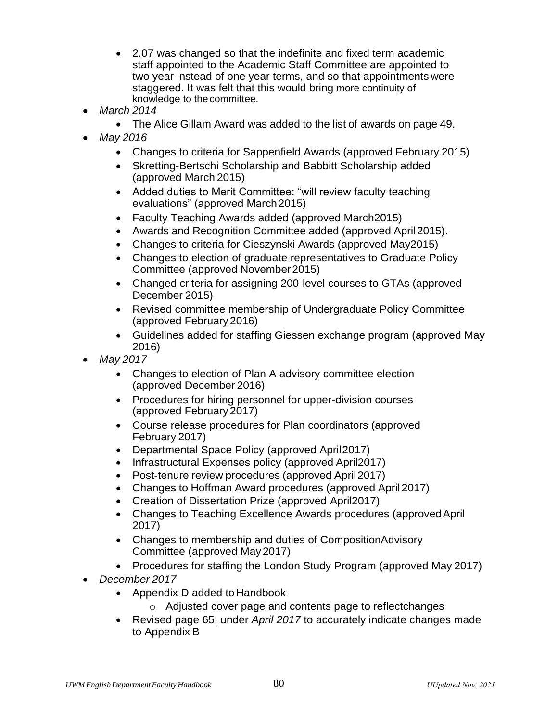- 2.07 was changed so that the indefinite and fixed term academic staff appointed to the Academic Staff Committee are appointed to two year instead of one year terms, and so that appointments were staggered. It was felt that this would bring more continuity of knowledge to the committee.
- *March 2014*
	- The Alice Gillam Award was added to the list of awards on page 49.
- *May 2016*
	- Changes to criteria for Sappenfield Awards (approved February 2015)
	- Skretting-Bertschi Scholarship and Babbitt Scholarship added (approved March 2015)
	- Added duties to Merit Committee: "will review faculty teaching evaluations" (approved March2015)
	- Faculty Teaching Awards added (approved March2015)
	- Awards and Recognition Committee added (approved April2015).
	- Changes to criteria for Cieszynski Awards (approved May2015)
	- Changes to election of graduate representatives to Graduate Policy Committee (approved November2015)
	- Changed criteria for assigning 200-level courses to GTAs (approved December 2015)
	- Revised committee membership of Undergraduate Policy Committee (approved February 2016)
	- Guidelines added for staffing Giessen exchange program (approved May 2016)
- *May 2017*
	- Changes to election of Plan A advisory committee election (approved December 2016)
	- Procedures for hiring personnel for upper-division courses (approved February 2017)
	- Course release procedures for Plan coordinators (approved February 2017)
	- Departmental Space Policy (approved April2017)
	- Infrastructural Expenses policy (approved April2017)
	- Post-tenure review procedures (approved April2017)
	- Changes to Hoffman Award procedures (approved April 2017)
	- Creation of Dissertation Prize (approved April2017)
	- Changes to Teaching Excellence Awards procedures (approvedApril 2017)
	- Changes to membership and duties of CompositionAdvisory Committee (approved May2017)
	- Procedures for staffing the London Study Program (approved May 2017)
- *December 2017*
	- Appendix D added to Handbook
		- o Adjusted cover page and contents page to reflectchanges
	- Revised page 65, under *April 2017* to accurately indicate changes made to Appendix B